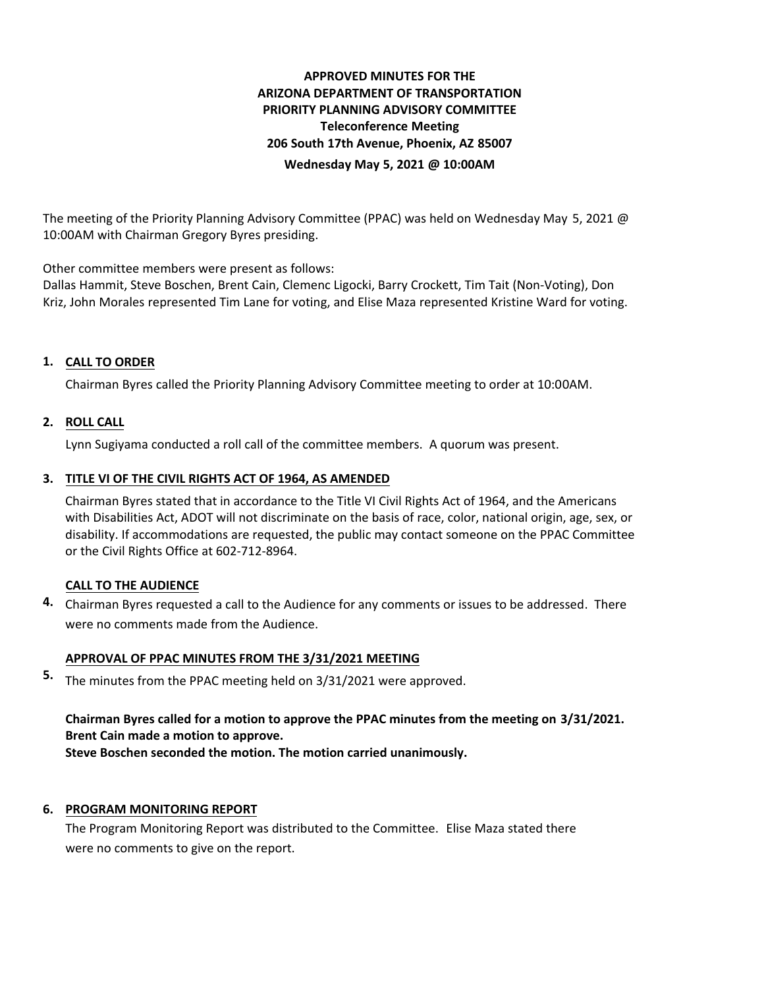# **APPROVED MINUTES FOR THE ARIZONA DEPARTMENT OF TRANSPORTATION PRIORITY PLANNING ADVISORY COMMITTEE Teleconference Meeting 206 South 17th Avenue, Phoenix, AZ 85007 Wednesday May 5, 2021 @ 10:00AM**

The meeting of the Priority Planning Advisory Committee (PPAC) was held on Wednesday May 5, 2021 @ 10:00AM with Chairman Gregory Byres presiding.

Other committee members were present as follows:

Dallas Hammit, Steve Boschen, Brent Cain, Clemenc Ligocki, Barry Crockett, Tim Tait (Non-Voting), Don Kriz, John Morales represented Tim Lane for voting, and Elise Maza represented Kristine Ward for voting.

# **CALL TO ORDER 1.**

Chairman Byres called the Priority Planning Advisory Committee meeting to order at 10:00AM.

## **ROLL CALL 2.**

Lynn Sugiyama conducted a roll call of the committee members. A quorum was present.

## **TITLE VI OF THE CIVIL RIGHTS ACT OF 1964, AS AMENDED 3.**

Chairman Byres stated that in accordance to the Title VI Civil Rights Act of 1964, and the Americans with Disabilities Act, ADOT will not discriminate on the basis of race, color, national origin, age, sex, or disability. If accommodations are requested, the public may contact someone on the PPAC Committee or the Civil Rights Office at 602-712-8964.

## **CALL TO THE AUDIENCE**

Chairman Byres requested a call to the Audience for any comments or issues to be addressed. There **4.** were no comments made from the Audience.

## **APPROVAL OF PPAC MINUTES FROM THE 3/31/2021 MEETING**

The minutes from the PPAC meeting held on 3/31/2021 were approved. **5.**

**Chairman Byres called for a motion to approve the PPAC minutes from the meeting on 3/31/2021. Brent Cain made a motion to approve. Steve Boschen seconded the motion. The motion carried unanimously.**

## **6. PROGRAM MONITORING REPORT**

The Program Monitoring Report was distributed to the Committee. Elise Maza stated there were no comments to give on the report.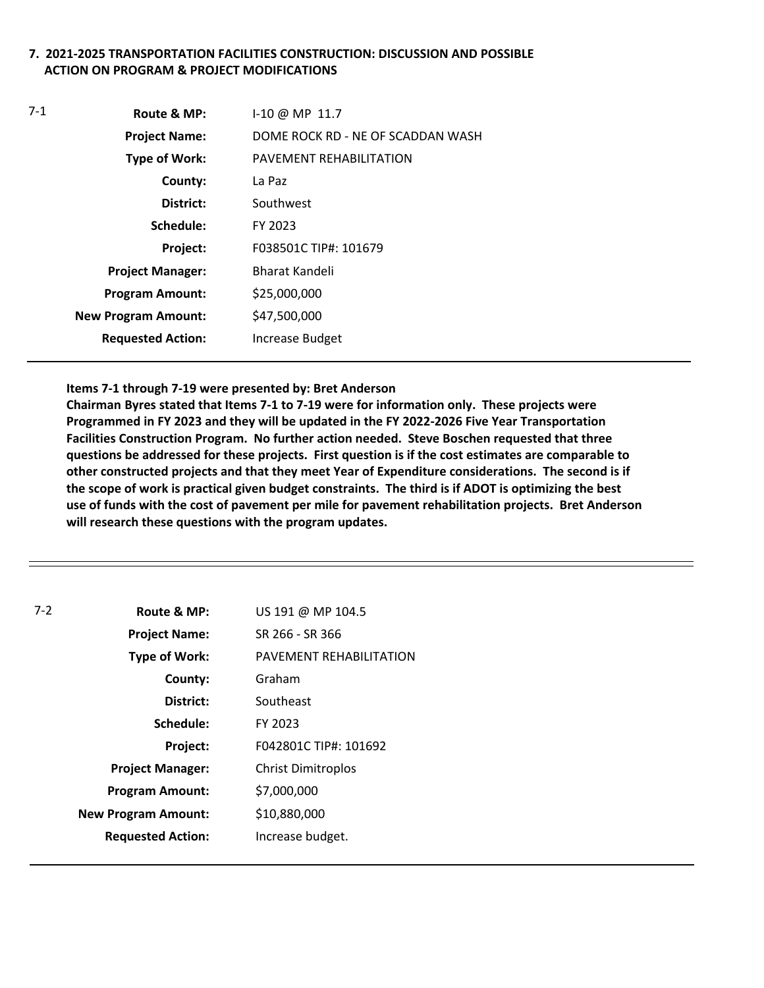## **7. 2021-2025 TRANSPORTATION FACILITIES CONSTRUCTION: DISCUSSION AND POSSIBLE ACTION ON PROGRAM & PROJECT MODIFICATIONS**

| $7-1$ | Route & MP:                | $1-10 \omega$ MP 11.7             |
|-------|----------------------------|-----------------------------------|
|       | <b>Project Name:</b>       | DOME ROCK RD - NE OF SCADDAN WASH |
|       | <b>Type of Work:</b>       | PAVEMENT REHABILITATION           |
|       | County:                    | La Paz                            |
|       | District:                  | Southwest                         |
|       | Schedule:                  | FY 2023                           |
|       | Project:                   | F038501C TIP#: 101679             |
|       | <b>Project Manager:</b>    | Bharat Kandeli                    |
|       | <b>Program Amount:</b>     | \$25,000,000                      |
|       | <b>New Program Amount:</b> | \$47,500,000                      |
|       | <b>Requested Action:</b>   | Increase Budget                   |
|       |                            |                                   |

#### **Items 7-1 through 7-19 were presented by: Bret Anderson**

**Chairman Byres stated that Items 7-1 to 7-19 were for information only. These projects were Programmed in FY 2023 and they will be updated in the FY 2022-2026 Five Year Transportation Facilities Construction Program. No further action needed. Steve Boschen requested that three questions be addressed for these projects. First question is if the cost estimates are comparable to other constructed projects and that they meet Year of Expenditure considerations. The second is if the scope of work is practical given budget constraints. The third is if ADOT is optimizing the best use of funds with the cost of pavement per mile for pavement rehabilitation projects. Bret Anderson will research these questions with the program updates.** 

| $7-2$ | Route & MP:                | US 191 @ MP 104.5         |
|-------|----------------------------|---------------------------|
|       | <b>Project Name:</b>       | SR 266 - SR 366           |
|       | <b>Type of Work:</b>       | PAVEMENT REHABILITATION   |
|       | County:                    | Graham                    |
|       | District:                  | Southeast                 |
|       | Schedule:                  | FY 2023                   |
|       | Project:                   | F042801C TIP#: 101692     |
|       | <b>Project Manager:</b>    | <b>Christ Dimitroplos</b> |
|       | <b>Program Amount:</b>     | \$7,000,000               |
|       | <b>New Program Amount:</b> | \$10,880,000              |
|       | <b>Requested Action:</b>   | Increase budget.          |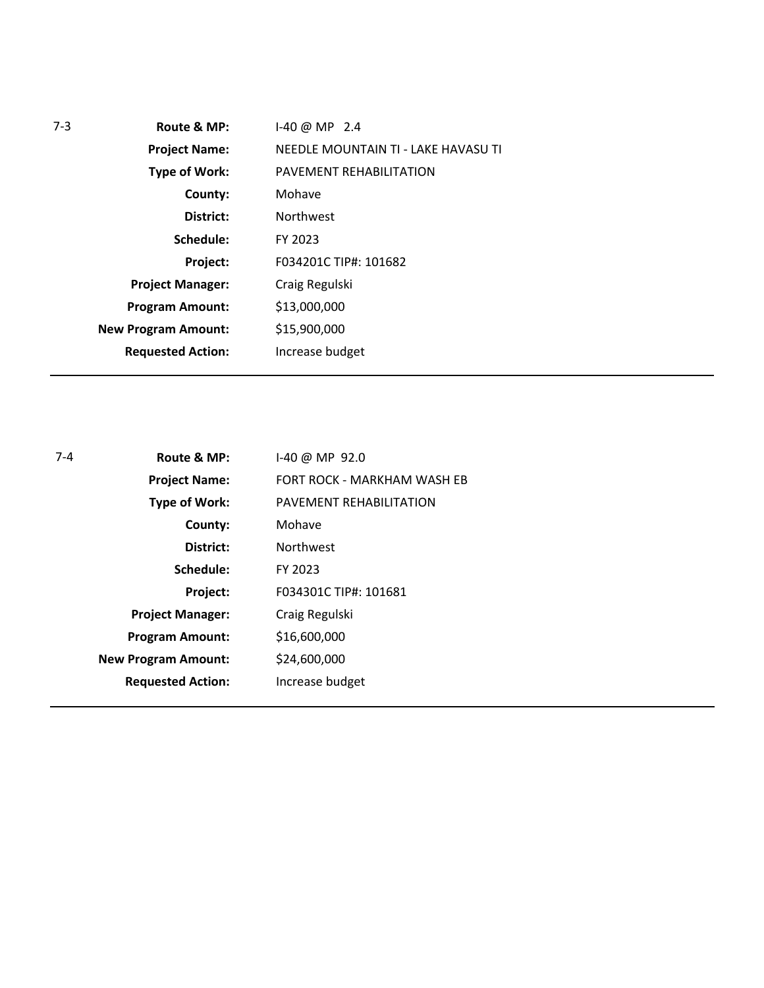| $7-3$ | Route & MP:                | $1-40$ @ MP 2.4                     |
|-------|----------------------------|-------------------------------------|
|       | <b>Project Name:</b>       | NEEDLE MOUNTAIN TI - LAKE HAVASU TI |
|       | <b>Type of Work:</b>       | PAVEMENT REHABILITATION             |
|       | County:                    | Mohave                              |
|       | District:                  | <b>Northwest</b>                    |
|       | Schedule:                  | FY 2023                             |
|       | Project:                   | F034201C TIP#: 101682               |
|       | <b>Project Manager:</b>    | Craig Regulski                      |
|       | <b>Program Amount:</b>     | \$13,000,000                        |
|       | <b>New Program Amount:</b> | \$15,900,000                        |
|       | <b>Requested Action:</b>   | Increase budget                     |
|       |                            |                                     |

| $7 - 4$ | Route & MP:                | 1-40 @ MP 92.0              |
|---------|----------------------------|-----------------------------|
|         | <b>Project Name:</b>       | FORT ROCK - MARKHAM WASH EB |
|         | <b>Type of Work:</b>       | PAVEMENT REHABILITATION     |
|         | County:                    | Mohave                      |
|         | District:                  | <b>Northwest</b>            |
|         | Schedule:                  | FY 2023                     |
|         | Project:                   | F034301C TIP#: 101681       |
|         | <b>Project Manager:</b>    | Craig Regulski              |
|         | <b>Program Amount:</b>     | \$16,600,000                |
|         | <b>New Program Amount:</b> | \$24,600,000                |
|         | <b>Requested Action:</b>   | Increase budget             |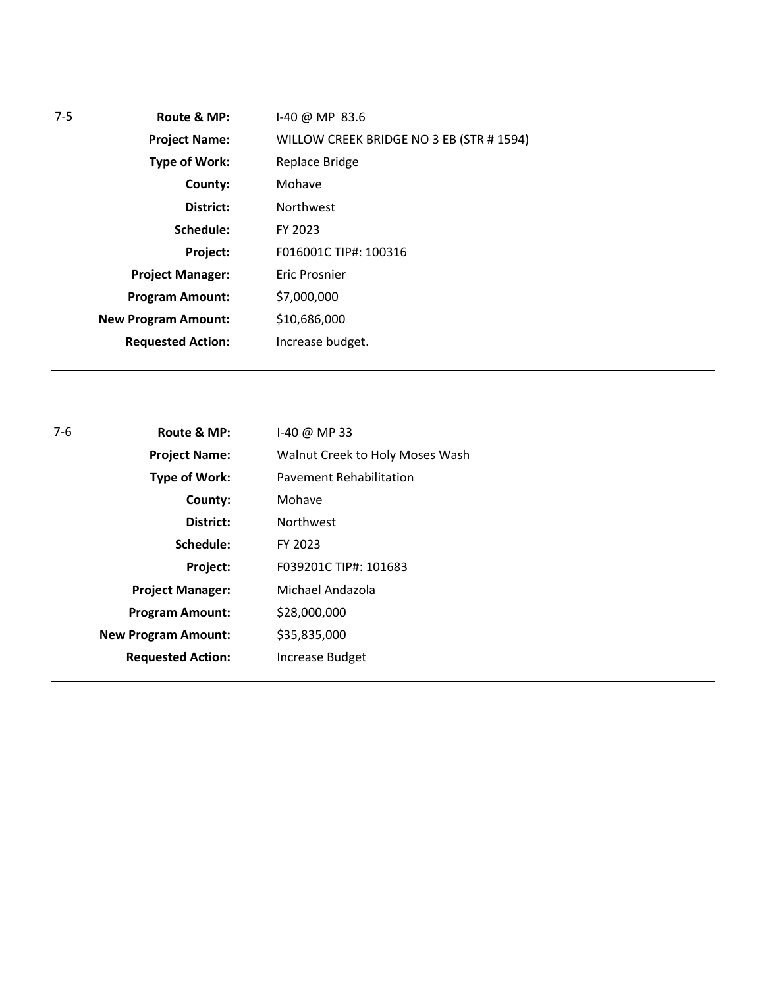| $7-5$ | Route & MP:                | $1-40$ @ MP 83.6                         |
|-------|----------------------------|------------------------------------------|
|       | <b>Project Name:</b>       | WILLOW CREEK BRIDGE NO 3 EB (STR # 1594) |
|       | <b>Type of Work:</b>       | Replace Bridge                           |
|       | County:                    | Mohave                                   |
|       | District:                  | <b>Northwest</b>                         |
|       | Schedule:                  | FY 2023                                  |
|       | Project:                   | F016001C TIP#: 100316                    |
|       | <b>Project Manager:</b>    | Eric Prosnier                            |
|       | <b>Program Amount:</b>     | \$7,000,000                              |
|       | <b>New Program Amount:</b> | \$10,686,000                             |
|       | <b>Requested Action:</b>   | Increase budget.                         |
|       |                            |                                          |

| 7-6                        | Route & MP:              | 1-40 @ MP 33                    |
|----------------------------|--------------------------|---------------------------------|
|                            | <b>Project Name:</b>     | Walnut Creek to Holy Moses Wash |
|                            | <b>Type of Work:</b>     | <b>Pavement Rehabilitation</b>  |
|                            | County:                  | Mohave                          |
|                            | District:                | <b>Northwest</b>                |
|                            | Schedule:                | FY 2023                         |
|                            | Project:                 | F039201C TIP#: 101683           |
|                            | <b>Project Manager:</b>  | Michael Andazola                |
|                            | <b>Program Amount:</b>   | \$28,000,000                    |
| <b>New Program Amount:</b> |                          | \$35,835,000                    |
|                            | <b>Requested Action:</b> | <b>Increase Budget</b>          |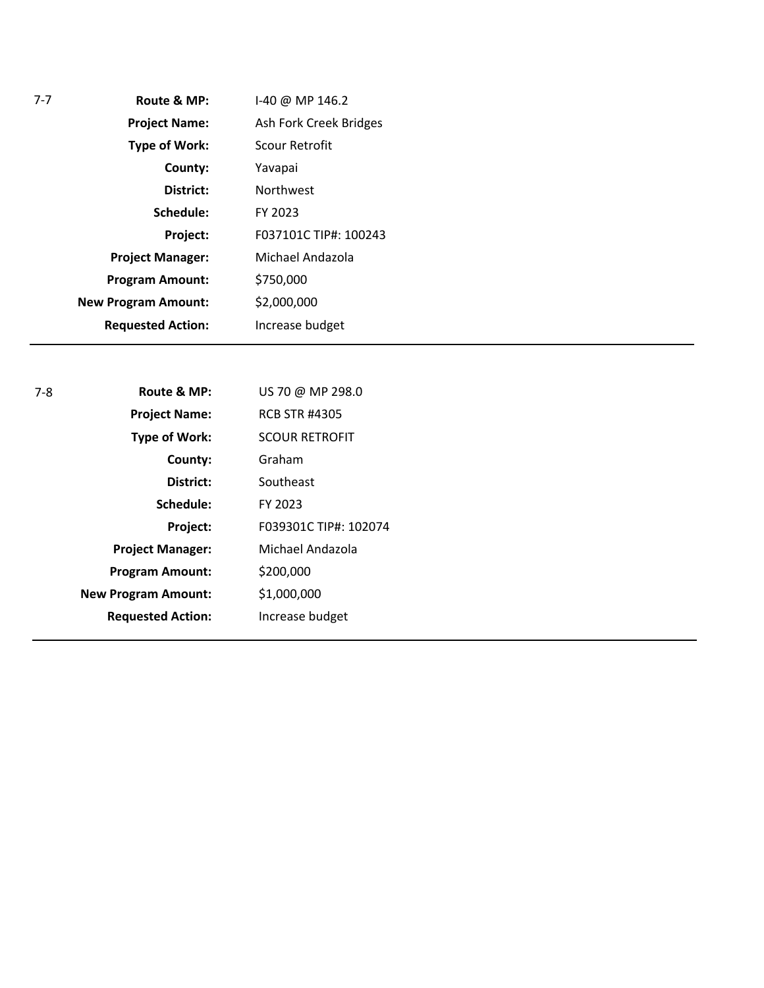| $7-7$ | Route & MP:                | 1-40 @ MP 146.2        |
|-------|----------------------------|------------------------|
|       | <b>Project Name:</b>       | Ash Fork Creek Bridges |
|       | <b>Type of Work:</b>       | Scour Retrofit         |
|       | County:                    | Yavapai                |
|       | District:                  | <b>Northwest</b>       |
|       | Schedule:                  | FY 2023                |
|       | Project:                   | F037101C TIP#: 100243  |
|       | <b>Project Manager:</b>    | Michael Andazola       |
|       | <b>Program Amount:</b>     | \$750,000              |
|       | <b>New Program Amount:</b> | \$2,000,000            |
|       | <b>Requested Action:</b>   | Increase budget        |

| 7-8 | Route & MP:                | US 70 @ MP 298.0      |
|-----|----------------------------|-----------------------|
|     | <b>Project Name:</b>       | <b>RCB STR #4305</b>  |
|     | <b>Type of Work:</b>       | <b>SCOUR RETROFIT</b> |
|     | County:                    | Graham                |
|     | District:                  | Southeast             |
|     | Schedule:                  | FY 2023               |
|     | Project:                   | F039301C TIP#: 102074 |
|     | <b>Project Manager:</b>    | Michael Andazola      |
|     | <b>Program Amount:</b>     | \$200,000             |
|     | <b>New Program Amount:</b> | \$1,000,000           |
|     | <b>Requested Action:</b>   | Increase budget       |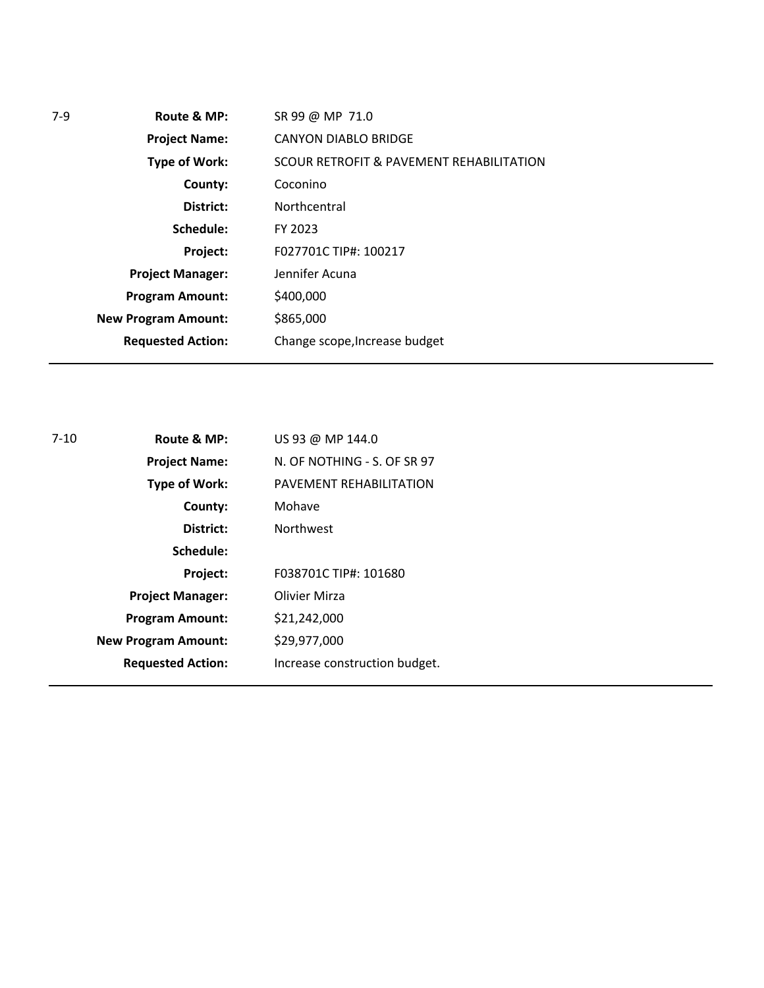| 7-9 | Route & MP:                | SR 99 @ MP 71.0                          |
|-----|----------------------------|------------------------------------------|
|     | <b>Project Name:</b>       | <b>CANYON DIABLO BRIDGE</b>              |
|     | <b>Type of Work:</b>       | SCOUR RETROFIT & PAVEMENT REHABILITATION |
|     | County:                    | Coconino                                 |
|     | District:                  | Northcentral                             |
|     | Schedule:                  | FY 2023                                  |
|     | Project:                   | F027701C TIP#: 100217                    |
|     | <b>Project Manager:</b>    | Jennifer Acuna                           |
|     | <b>Program Amount:</b>     | \$400,000                                |
|     | <b>New Program Amount:</b> | \$865,000                                |
|     | <b>Requested Action:</b>   | Change scope, Increase budget            |
|     |                            |                                          |

| 7-10 | Route & MP:                | US 93 @ MP 144.0              |
|------|----------------------------|-------------------------------|
|      | <b>Project Name:</b>       | N. OF NOTHING - S. OF SR 97   |
|      | <b>Type of Work:</b>       | PAVEMENT REHABILITATION       |
|      | County:                    | Mohave                        |
|      | District:                  | <b>Northwest</b>              |
|      | Schedule:                  |                               |
|      | Project:                   | F038701C TIP#: 101680         |
|      | <b>Project Manager:</b>    | Olivier Mirza                 |
|      | <b>Program Amount:</b>     | \$21,242,000                  |
|      | <b>New Program Amount:</b> | \$29,977,000                  |
|      | <b>Requested Action:</b>   | Increase construction budget. |
|      |                            |                               |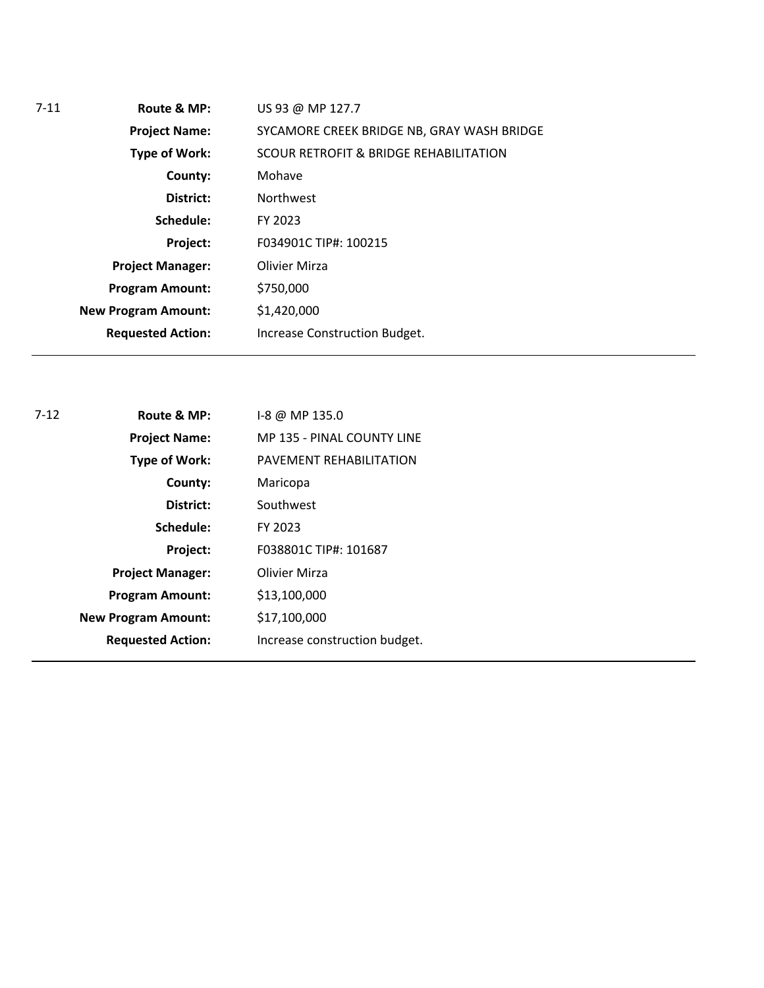| $7 - 11$ | Route & MP:                | US 93 @ MP 127.7                           |
|----------|----------------------------|--------------------------------------------|
|          | <b>Project Name:</b>       | SYCAMORE CREEK BRIDGE NB, GRAY WASH BRIDGE |
|          | Type of Work:              | SCOUR RETROFIT & BRIDGE REHABILITATION     |
|          | County:                    | Mohave                                     |
|          | District:                  | <b>Northwest</b>                           |
|          | Schedule:                  | FY 2023                                    |
|          | Project:                   | F034901C TIP#: 100215                      |
|          | <b>Project Manager:</b>    | Olivier Mirza                              |
|          | <b>Program Amount:</b>     | \$750,000                                  |
|          | <b>New Program Amount:</b> | \$1,420,000                                |
|          | <b>Requested Action:</b>   | Increase Construction Budget.              |
|          |                            |                                            |

| $-8$ @ MP 135.0               |
|-------------------------------|
| MP 135 - PINAL COUNTY LINE    |
| PAVEMENT REHABILITATION       |
| Maricopa                      |
| Southwest                     |
| FY 2023                       |
| F038801C TIP#: 101687         |
| <b>Olivier Mirza</b>          |
| \$13,100,000                  |
| \$17,100,000                  |
| Increase construction budget. |
|                               |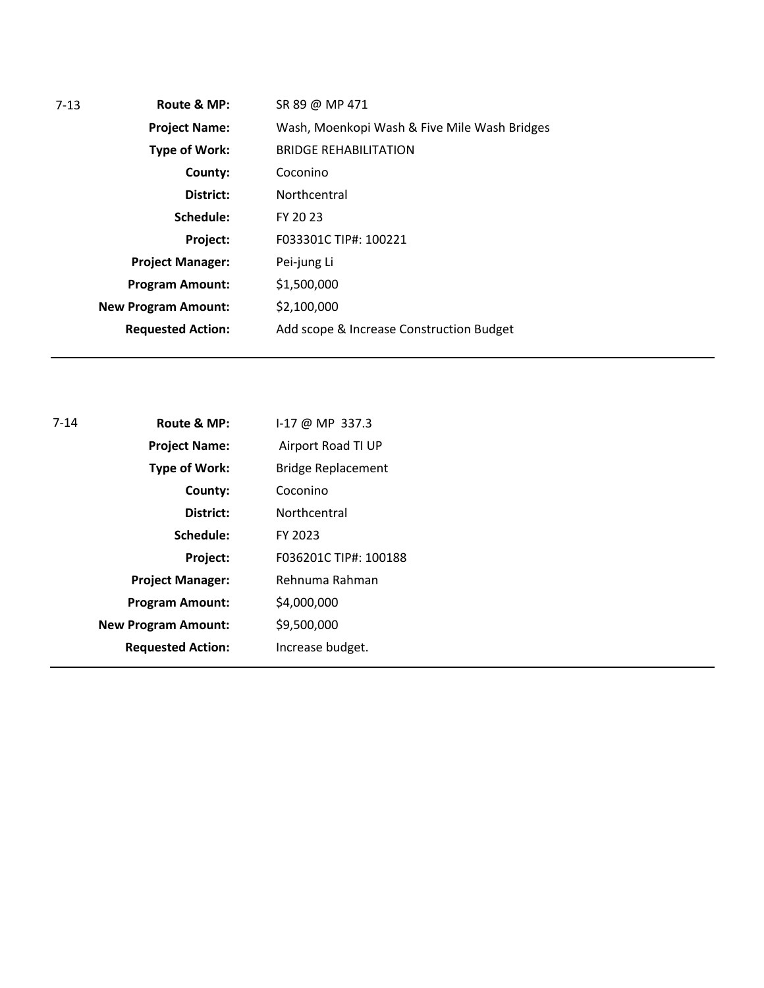| $7 - 13$ | Route & MP:                | SR 89 @ MP 471                               |
|----------|----------------------------|----------------------------------------------|
|          | <b>Project Name:</b>       | Wash, Moenkopi Wash & Five Mile Wash Bridges |
|          | Type of Work:              | <b>BRIDGE REHABILITATION</b>                 |
|          | County:                    | Coconino                                     |
|          | District:                  | Northcentral                                 |
|          | Schedule:                  | FY 20 23                                     |
|          | Project:                   | F033301C TIP#: 100221                        |
|          | <b>Project Manager:</b>    | Pei-jung Li                                  |
|          | <b>Program Amount:</b>     | \$1,500,000                                  |
|          | <b>New Program Amount:</b> | \$2,100,000                                  |
|          | <b>Requested Action:</b>   | Add scope & Increase Construction Budget     |
|          |                            |                                              |

| $7 - 14$ | Route & MP:                | $1-17$ @ MP 337.3         |
|----------|----------------------------|---------------------------|
|          | <b>Project Name:</b>       | Airport Road TI UP        |
|          | Type of Work:              | <b>Bridge Replacement</b> |
|          | County:                    | Coconino                  |
|          | District:                  | Northcentral              |
|          | Schedule:                  | FY 2023                   |
|          | Project:                   | F036201C TIP#: 100188     |
|          | <b>Project Manager:</b>    | Rehnuma Rahman            |
|          | <b>Program Amount:</b>     | \$4,000,000               |
|          | <b>New Program Amount:</b> | \$9,500,000               |
|          | <b>Requested Action:</b>   | Increase budget.          |
|          |                            |                           |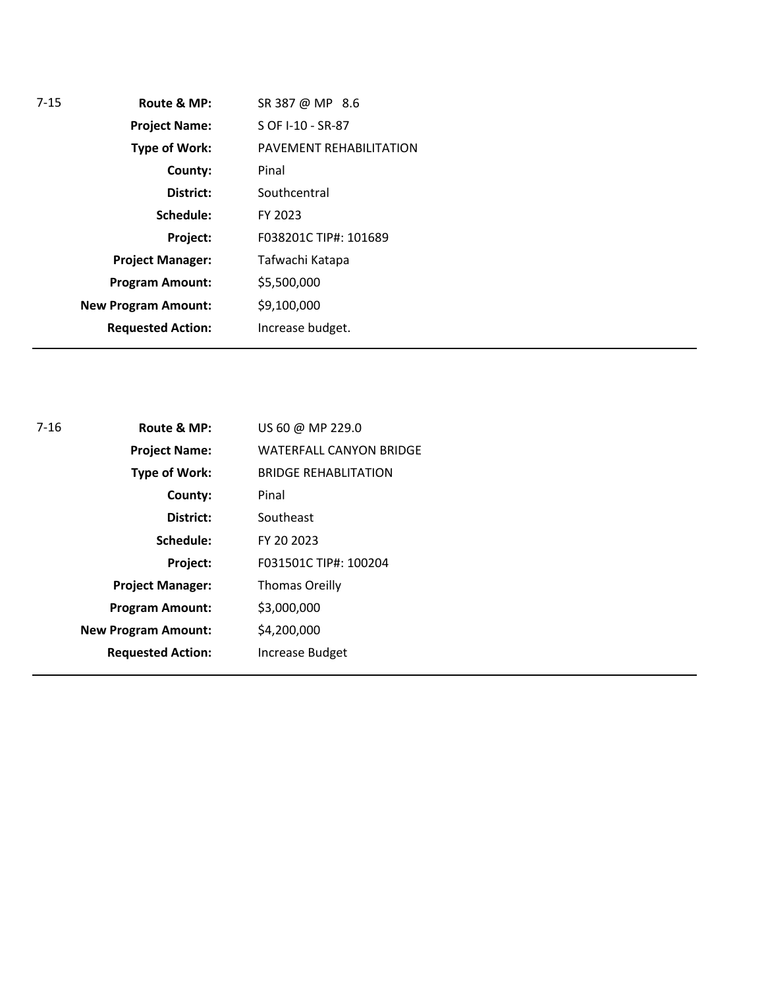| $7 - 15$ | Route & MP:                | SR 387 @ MP 8.6         |
|----------|----------------------------|-------------------------|
|          | <b>Project Name:</b>       | S OF I-10 - SR-87       |
|          | <b>Type of Work:</b>       | PAVEMENT REHABILITATION |
|          | County:                    | Pinal                   |
|          | District:                  | Southcentral            |
|          | Schedule:                  | FY 2023                 |
|          | Project:                   | F038201C TIP#: 101689   |
|          | <b>Project Manager:</b>    | Tafwachi Katapa         |
|          | <b>Program Amount:</b>     | \$5,500,000             |
|          | <b>New Program Amount:</b> | \$9,100,000             |
|          | <b>Requested Action:</b>   | Increase budget.        |
|          |                            |                         |

| 7-16 | Route & MP:                | US 60 @ MP 229.0               |
|------|----------------------------|--------------------------------|
|      | <b>Project Name:</b>       | <b>WATERFALL CANYON BRIDGE</b> |
|      | <b>Type of Work:</b>       | <b>BRIDGE REHABLITATION</b>    |
|      | County:                    | Pinal                          |
|      | District:                  | Southeast                      |
|      | Schedule:                  | FY 20 2023                     |
|      | Project:                   | F031501C TIP#: 100204          |
|      | <b>Project Manager:</b>    | <b>Thomas Oreilly</b>          |
|      | <b>Program Amount:</b>     | \$3,000,000                    |
|      | <b>New Program Amount:</b> | \$4,200,000                    |
|      | <b>Requested Action:</b>   | <b>Increase Budget</b>         |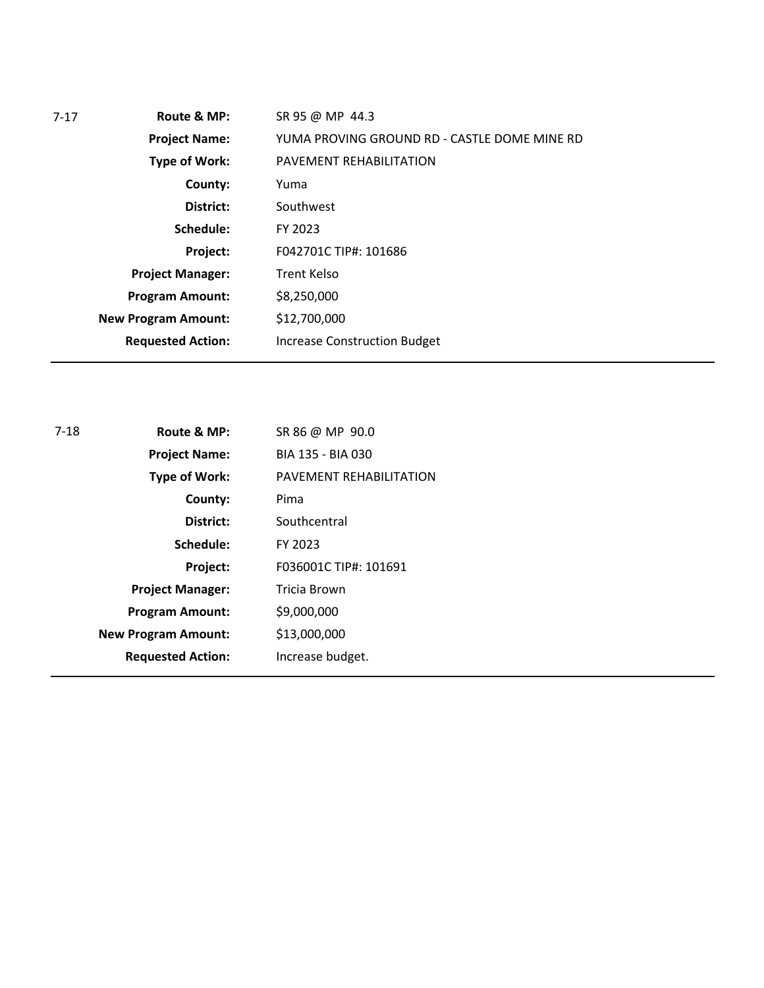| $7 - 17$ | Route & MP:                | SR 95 @ MP 44.3                              |
|----------|----------------------------|----------------------------------------------|
|          | <b>Project Name:</b>       | YUMA PROVING GROUND RD - CASTLE DOME MINE RD |
|          | <b>Type of Work:</b>       | PAVEMENT REHABILITATION                      |
|          | County:                    | Yuma                                         |
|          | District:                  | Southwest                                    |
|          | Schedule:                  | FY 2023                                      |
|          | Project:                   | F042701C TIP#: 101686                        |
|          | <b>Project Manager:</b>    | <b>Trent Kelso</b>                           |
|          | <b>Program Amount:</b>     | \$8,250,000                                  |
|          | <b>New Program Amount:</b> | \$12,700,000                                 |
|          | <b>Requested Action:</b>   | <b>Increase Construction Budget</b>          |
|          |                            |                                              |

| 7-18 | Route & MP:                | SR 86 @ MP 90.0         |
|------|----------------------------|-------------------------|
|      | <b>Project Name:</b>       | BIA 135 - BIA 030       |
|      | <b>Type of Work:</b>       | PAVEMENT REHABILITATION |
|      | County:                    | Pima                    |
|      | District:                  | Southcentral            |
|      | Schedule:                  | FY 2023                 |
|      | Project:                   | F036001C TIP#: 101691   |
|      | <b>Project Manager:</b>    | Tricia Brown            |
|      | <b>Program Amount:</b>     | \$9,000,000             |
|      | <b>New Program Amount:</b> | \$13,000,000            |
|      | <b>Requested Action:</b>   | Increase budget.        |
|      |                            |                         |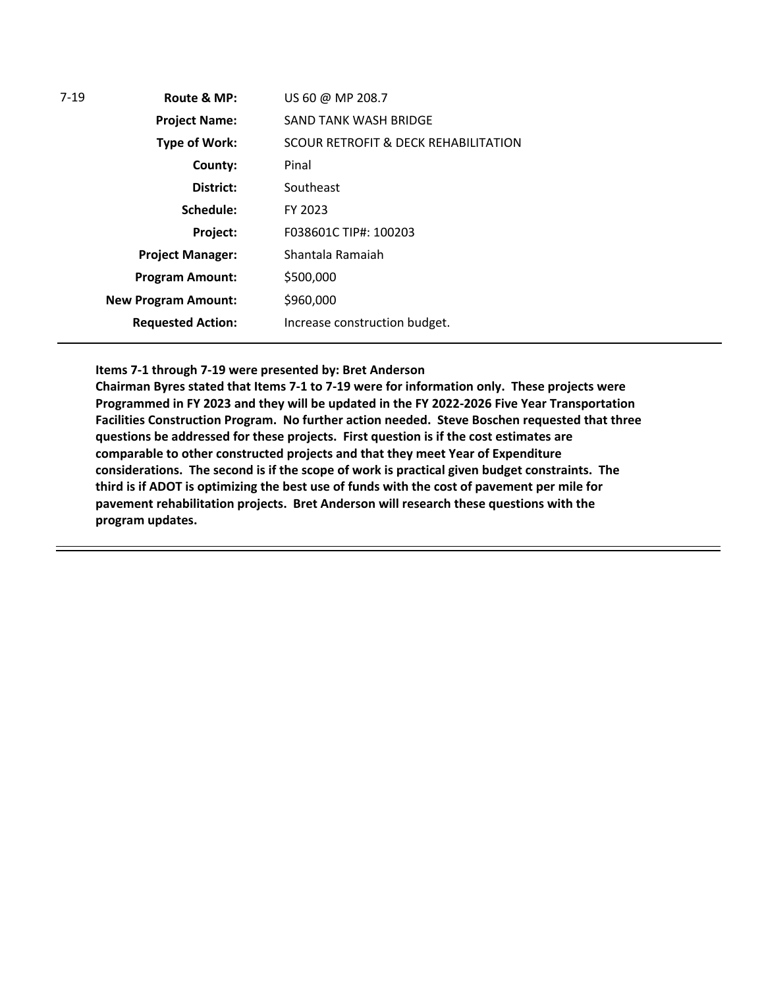| 7-19 | Route & MP:                | US 60 @ MP 208.7                     |
|------|----------------------------|--------------------------------------|
|      | <b>Project Name:</b>       | SAND TANK WASH BRIDGE                |
|      | Type of Work:              | SCOUR RETROFIT & DECK REHABILITATION |
|      | County:                    | Pinal                                |
|      | District:                  | Southeast                            |
|      | Schedule:                  | FY 2023                              |
|      | Project:                   | F038601C TIP#: 100203                |
|      | <b>Project Manager:</b>    | Shantala Ramaiah                     |
|      | <b>Program Amount:</b>     | \$500,000                            |
|      | <b>New Program Amount:</b> | \$960,000                            |
|      | <b>Requested Action:</b>   | Increase construction budget.        |

**Items 7-1 through 7-19 were presented by: Bret Anderson**

**Chairman Byres stated that Items 7-1 to 7-19 were for information only. These projects were Programmed in FY 2023 and they will be updated in the FY 2022-2026 Five Year Transportation Facilities Construction Program. No further action needed. Steve Boschen requested that three questions be addressed for these projects. First question is if the cost estimates are comparable to other constructed projects and that they meet Year of Expenditure considerations. The second is if the scope of work is practical given budget constraints. The third is if ADOT is optimizing the best use of funds with the cost of pavement per mile for pavement rehabilitation projects. Bret Anderson will research these questions with the program updates.**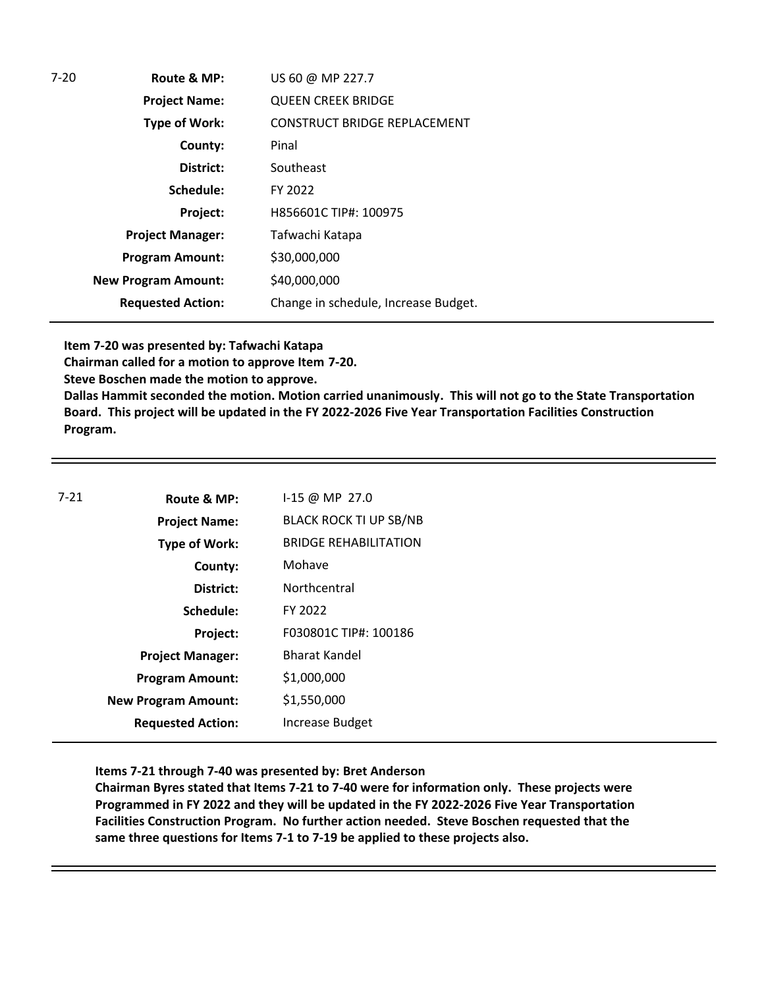| $7-20$ | Route & MP:                | US 60 @ MP 227.7                     |
|--------|----------------------------|--------------------------------------|
|        | <b>Project Name:</b>       | <b>QUEEN CREEK BRIDGE</b>            |
|        | <b>Type of Work:</b>       | <b>CONSTRUCT BRIDGE REPLACEMENT</b>  |
|        | County:                    | Pinal                                |
|        | District:                  | Southeast                            |
|        | Schedule:                  | FY 2022                              |
|        | Project:                   | H856601C TIP#: 100975                |
|        | <b>Project Manager:</b>    | Tafwachi Katapa                      |
|        | <b>Program Amount:</b>     | \$30,000,000                         |
|        | <b>New Program Amount:</b> | \$40,000,000                         |
|        | <b>Requested Action:</b>   | Change in schedule, Increase Budget. |

**Item 7-20 was presented by: Tafwachi Katapa**

**Chairman called for a motion to approve Item 7-20.**

**Steve Boschen made the motion to approve.**

**Dallas Hammit seconded the motion. Motion carried unanimously. This will not go to the State Transportation Board. This project will be updated in the FY 2022-2026 Five Year Transportation Facilities Construction Program.**

| $7 - 21$ | Route & MP:                | I-15 @ MP 27.0                |
|----------|----------------------------|-------------------------------|
|          | <b>Project Name:</b>       | <b>BLACK ROCK TI UP SB/NB</b> |
|          | <b>Type of Work:</b>       | <b>BRIDGE REHABILITATION</b>  |
|          | County:                    | Mohave                        |
|          | District:                  | Northcentral                  |
|          | Schedule:                  | FY 2022                       |
|          | Project:                   | F030801C TIP#: 100186         |
|          | <b>Project Manager:</b>    | <b>Bharat Kandel</b>          |
|          | <b>Program Amount:</b>     | \$1,000,000                   |
|          | <b>New Program Amount:</b> | \$1,550,000                   |
|          | <b>Requested Action:</b>   | Increase Budget               |

**Items 7-21 through 7-40 was presented by: Bret Anderson** 

**Chairman Byres stated that Items 7-21 to 7-40 were for information only. These projects were Programmed in FY 2022 and they will be updated in the FY 2022-2026 Five Year Transportation Facilities Construction Program. No further action needed. Steve Boschen requested that the same three questions for Items 7-1 to 7-19 be applied to these projects also.**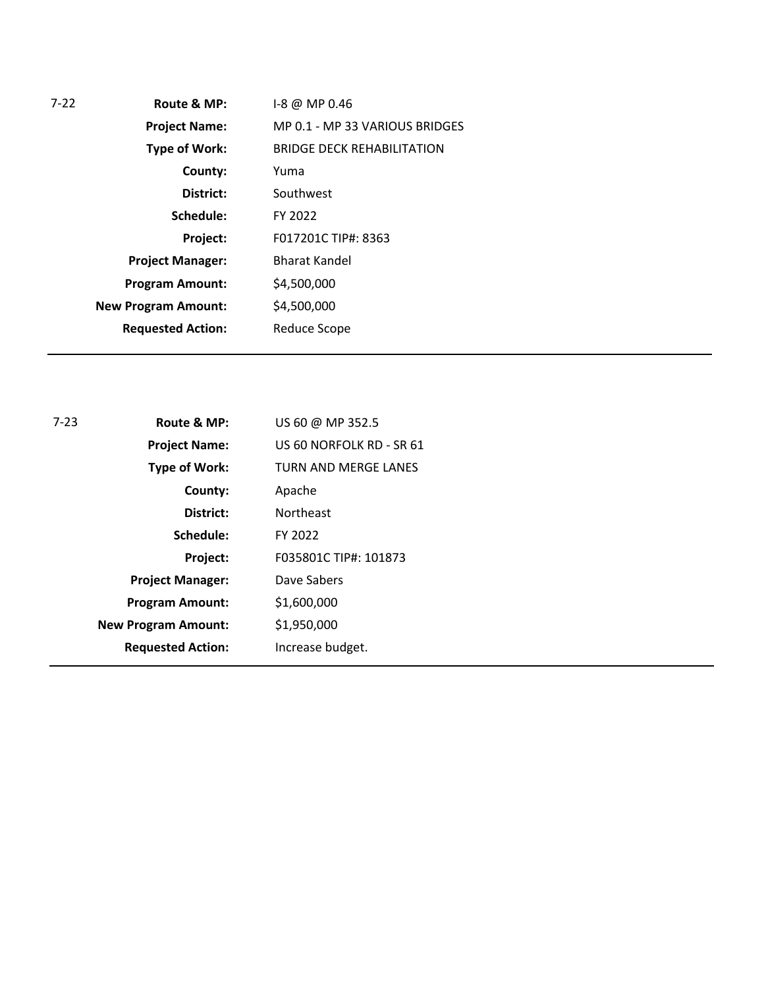| 7-22 | Route & MP:                | I-8 @ MP 0.46                     |  |
|------|----------------------------|-----------------------------------|--|
|      | <b>Project Name:</b>       | MP 0.1 - MP 33 VARIOUS BRIDGES    |  |
|      | <b>Type of Work:</b>       | <b>BRIDGE DECK REHABILITATION</b> |  |
|      | County:                    | Yuma                              |  |
|      | District:                  | Southwest                         |  |
|      | Schedule:                  | FY 2022                           |  |
|      | Project:                   | F017201C TIP#: 8363               |  |
|      | <b>Project Manager:</b>    | <b>Bharat Kandel</b>              |  |
|      | <b>Program Amount:</b>     | \$4,500,000                       |  |
|      | <b>New Program Amount:</b> | \$4,500,000                       |  |
|      | <b>Requested Action:</b>   | Reduce Scope                      |  |
|      |                            |                                   |  |

| $7 - 23$ | Route & MP:                | US 60 @ MP 352.5            |
|----------|----------------------------|-----------------------------|
|          | <b>Project Name:</b>       | US 60 NORFOLK RD - SR 61    |
|          | <b>Type of Work:</b>       | <b>TURN AND MERGE LANES</b> |
|          | County:                    | Apache                      |
|          | District:                  | <b>Northeast</b>            |
|          | Schedule:                  | FY 2022                     |
|          | Project:                   | F035801C TIP#: 101873       |
|          | <b>Project Manager:</b>    | Dave Sabers                 |
|          | <b>Program Amount:</b>     | \$1,600,000                 |
|          | <b>New Program Amount:</b> | \$1,950,000                 |
|          | <b>Requested Action:</b>   | Increase budget.            |
|          |                            |                             |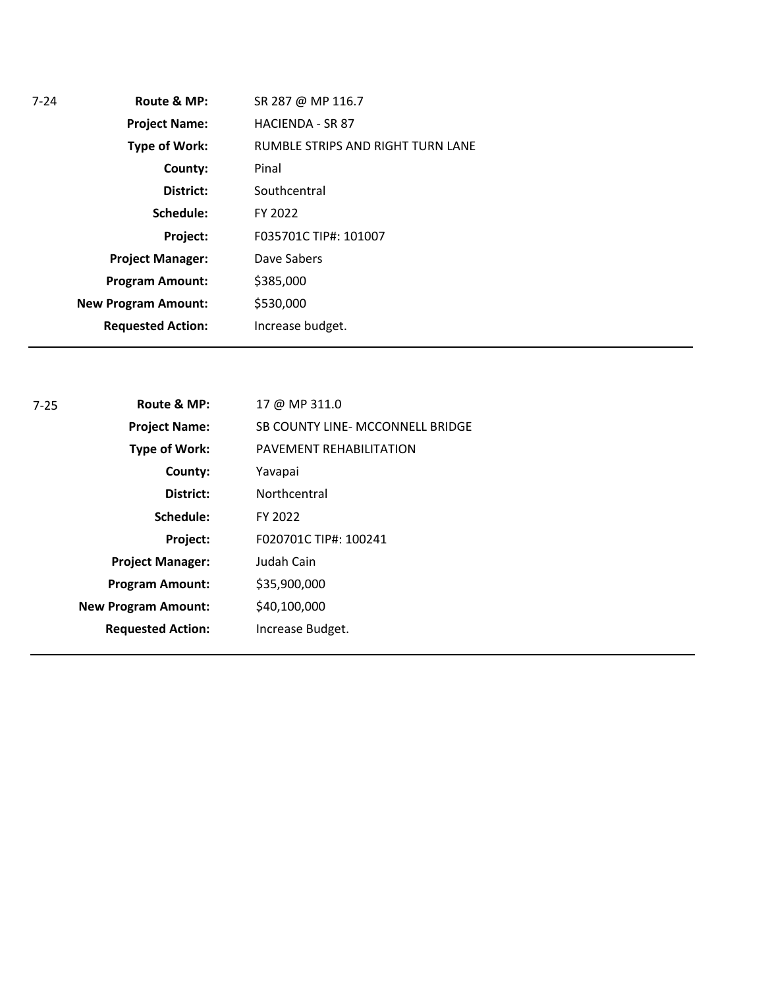| Route & MP:                | SR 287 @ MP 116.7                 |
|----------------------------|-----------------------------------|
| <b>Project Name:</b>       | <b>HACIENDA - SR 87</b>           |
| <b>Type of Work:</b>       | RUMBLE STRIPS AND RIGHT TURN LANE |
| County:                    | Pinal                             |
| District:                  | Southcentral                      |
| Schedule:                  | FY 2022                           |
| Project:                   | F035701C TIP#: 101007             |
| <b>Project Manager:</b>    | Dave Sabers                       |
| <b>Program Amount:</b>     | \$385,000                         |
| <b>New Program Amount:</b> | \$530,000                         |
| <b>Requested Action:</b>   | Increase budget.                  |
|                            |                                   |

| $7 - 25$ | Route & MP:                | 17 @ MP 311.0                    |
|----------|----------------------------|----------------------------------|
|          | <b>Project Name:</b>       | SB COUNTY LINE- MCCONNELL BRIDGE |
|          | <b>Type of Work:</b>       | <b>PAVEMENT REHABILITATION</b>   |
|          | County:                    | Yavapai                          |
|          | District:                  | Northcentral                     |
|          | Schedule:                  | FY 2022                          |
|          | Project:                   | F020701C TIP#: 100241            |
|          | <b>Project Manager:</b>    | Judah Cain                       |
|          | <b>Program Amount:</b>     | \$35,900,000                     |
|          | <b>New Program Amount:</b> | \$40,100,000                     |
|          | <b>Requested Action:</b>   | Increase Budget.                 |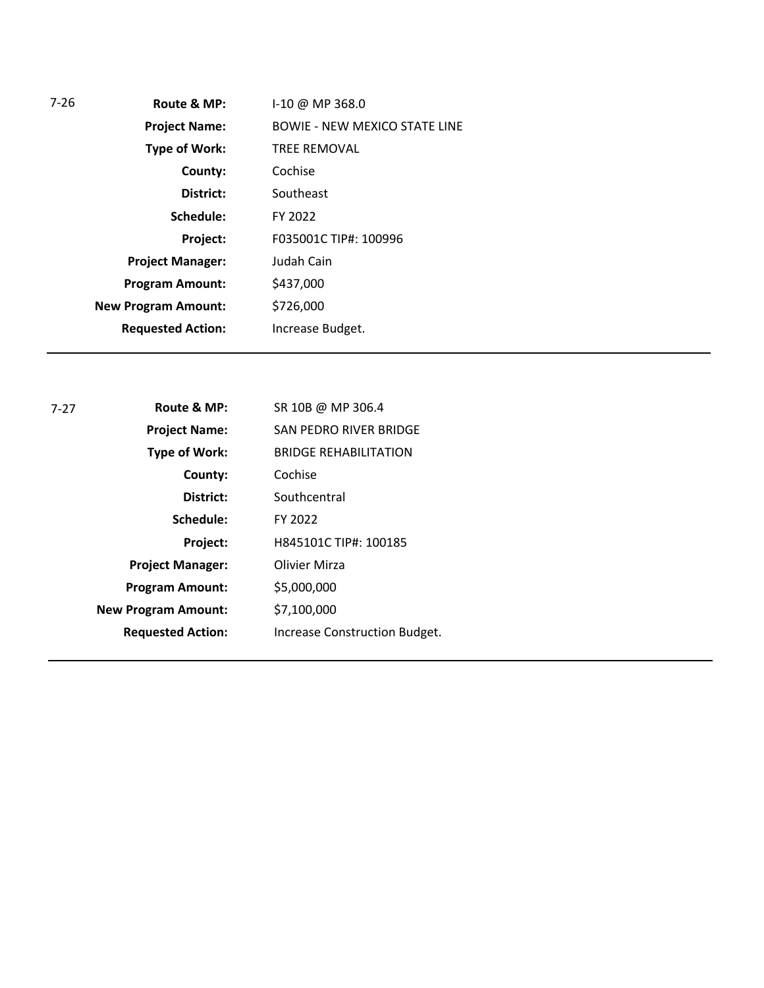| 7-26 | Route & MP:                | $1-10 \ @ \ MP 368.0$                |
|------|----------------------------|--------------------------------------|
|      | <b>Project Name:</b>       | <b>BOWIE - NEW MEXICO STATE LINE</b> |
|      | <b>Type of Work:</b>       | <b>TREE REMOVAL</b>                  |
|      | County:                    | Cochise                              |
|      | District:                  | Southeast                            |
|      | Schedule:                  | FY 2022                              |
|      | Project:                   | F035001C TIP#: 100996                |
|      | <b>Project Manager:</b>    | Judah Cain                           |
|      | <b>Program Amount:</b>     | \$437,000                            |
|      | <b>New Program Amount:</b> | \$726,000                            |
|      | <b>Requested Action:</b>   | Increase Budget.                     |
|      |                            |                                      |

| $7-27$ | Route & MP:                | SR 10B @ MP 306.4             |
|--------|----------------------------|-------------------------------|
|        | <b>Project Name:</b>       | SAN PEDRO RIVER BRIDGE        |
|        | Type of Work:              | <b>BRIDGE REHABILITATION</b>  |
|        | County:                    | Cochise                       |
|        | District:                  | Southcentral                  |
|        | Schedule:                  | FY 2022                       |
|        | Project:                   | H845101C TIP#: 100185         |
|        | <b>Project Manager:</b>    | Olivier Mirza                 |
|        | <b>Program Amount:</b>     | \$5,000,000                   |
|        | <b>New Program Amount:</b> | \$7,100,000                   |
|        | <b>Requested Action:</b>   | Increase Construction Budget. |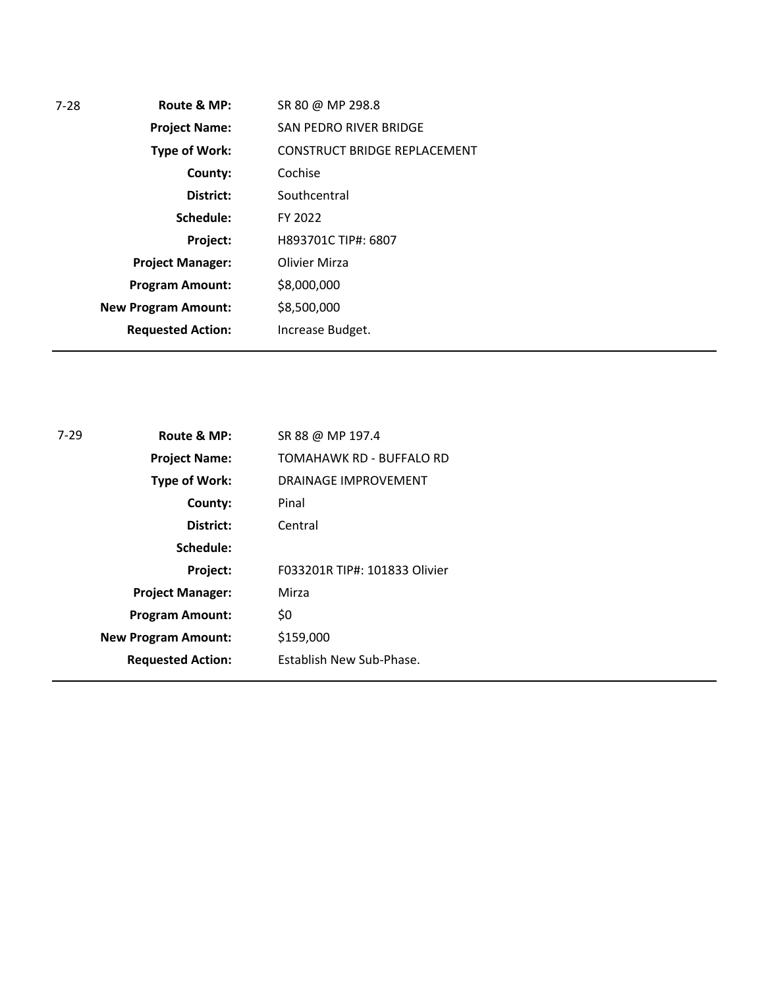| 7-28 | Route & MP:                | SR 80 @ MP 298.8                    |
|------|----------------------------|-------------------------------------|
|      | <b>Project Name:</b>       | SAN PEDRO RIVER BRIDGE              |
|      | <b>Type of Work:</b>       | <b>CONSTRUCT BRIDGE REPLACEMENT</b> |
|      | County:                    | Cochise                             |
|      | District:                  | Southcentral                        |
|      | Schedule:                  | FY 2022                             |
|      | Project:                   | H893701C TIP#: 6807                 |
|      | <b>Project Manager:</b>    | Olivier Mirza                       |
|      | <b>Program Amount:</b>     | \$8,000,000                         |
|      | <b>New Program Amount:</b> | \$8,500,000                         |
|      | <b>Requested Action:</b>   | Increase Budget.                    |
|      |                            |                                     |

| 7-29 | Route & MP:                | SR 88 @ MP 197.4              |
|------|----------------------------|-------------------------------|
|      | <b>Project Name:</b>       | TOMAHAWK RD - BUFFALO RD      |
|      | <b>Type of Work:</b>       | DRAINAGE IMPROVEMENT          |
|      | County:                    | Pinal                         |
|      | District:                  | Central                       |
|      | Schedule:                  |                               |
|      | Project:                   | F033201R TIP#: 101833 Olivier |
|      | <b>Project Manager:</b>    | Mirza                         |
|      | <b>Program Amount:</b>     | \$0                           |
|      | <b>New Program Amount:</b> | \$159,000                     |
|      | <b>Requested Action:</b>   | Establish New Sub-Phase.      |
|      |                            |                               |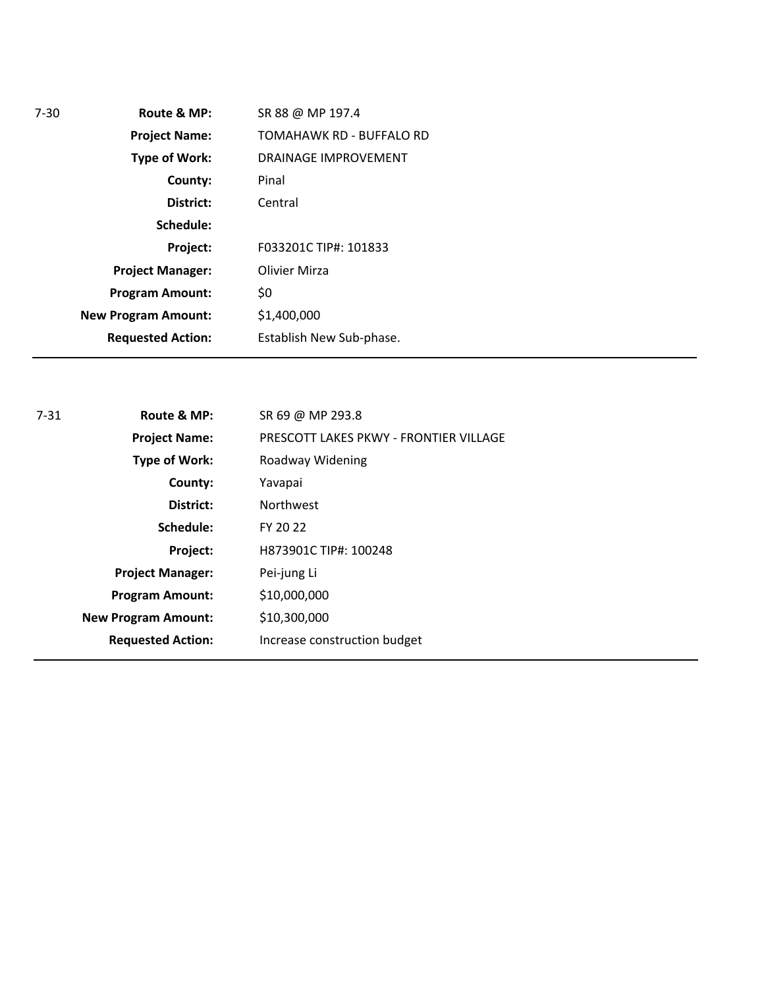| $7 - 30$ | Route & MP:                | SR 88 @ MP 197.4         |
|----------|----------------------------|--------------------------|
|          | <b>Project Name:</b>       | TOMAHAWK RD - BUFFALO RD |
|          | Type of Work:              | DRAINAGE IMPROVEMENT     |
|          | County:                    | Pinal                    |
|          | District:                  | Central                  |
|          | Schedule:                  |                          |
|          | Project:                   | F033201C TIP#: 101833    |
|          | <b>Project Manager:</b>    | Olivier Mirza            |
|          | <b>Program Amount:</b>     | \$0                      |
|          | <b>New Program Amount:</b> | \$1,400,000              |
|          | <b>Requested Action:</b>   | Establish New Sub-phase. |

| $7 - 31$ | Route & MP:                | SR 69 @ MP 293.8                       |
|----------|----------------------------|----------------------------------------|
|          | <b>Project Name:</b>       | PRESCOTT LAKES PKWY - FRONTIER VILLAGE |
|          | Type of Work:              | Roadway Widening                       |
|          | County:                    | Yavapai                                |
|          | District:                  | <b>Northwest</b>                       |
|          | Schedule:                  | FY 20 22                               |
|          | Project:                   | H873901C TIP#: 100248                  |
|          | <b>Project Manager:</b>    | Pei-jung Li                            |
|          | <b>Program Amount:</b>     | \$10,000,000                           |
|          | <b>New Program Amount:</b> | \$10,300,000                           |
|          | <b>Requested Action:</b>   | Increase construction budget           |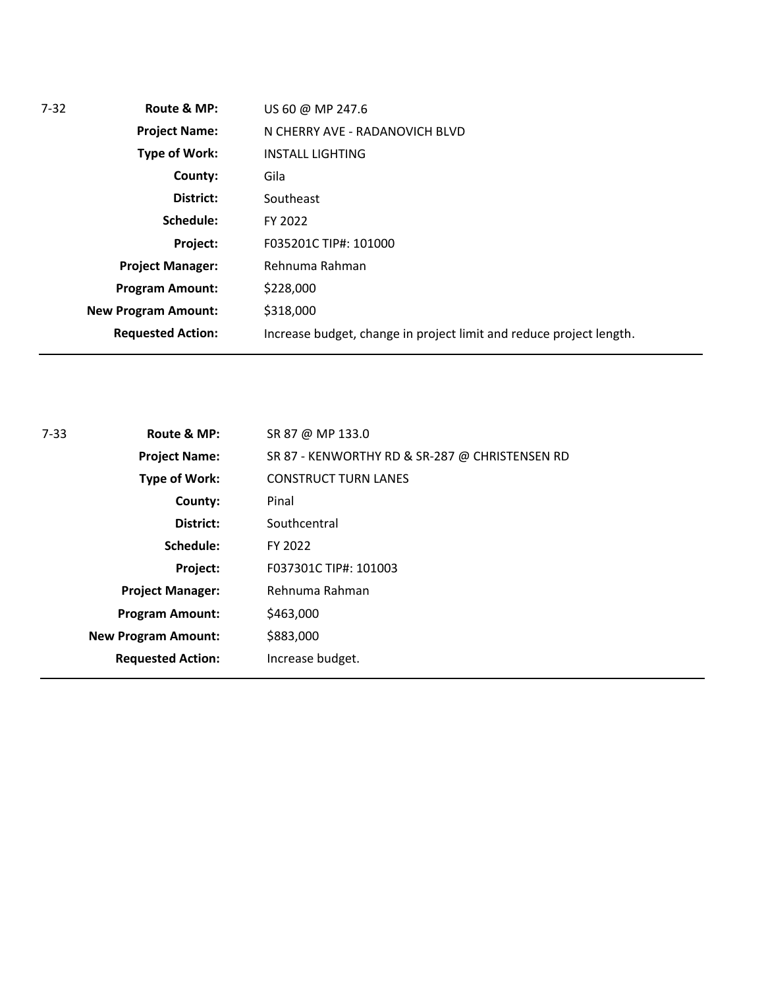| $7 - 32$ | Route & MP:                | US 60 @ MP 247.6                                                    |  |
|----------|----------------------------|---------------------------------------------------------------------|--|
|          | <b>Project Name:</b>       | N CHERRY AVE - RADANOVICH BLVD                                      |  |
|          | Type of Work:              | <b>INSTALL LIGHTING</b>                                             |  |
|          | County:                    | Gila                                                                |  |
|          | District:                  | Southeast                                                           |  |
|          | Schedule:                  | FY 2022                                                             |  |
|          | Project:                   | F035201C TIP#: 101000                                               |  |
|          | <b>Project Manager:</b>    | Rehnuma Rahman                                                      |  |
|          | <b>Program Amount:</b>     | \$228,000                                                           |  |
|          | <b>New Program Amount:</b> | \$318,000                                                           |  |
|          | <b>Requested Action:</b>   | Increase budget, change in project limit and reduce project length. |  |

| Route & MP:<br>$7 - 33$<br>SR 87 @ MP 133.0 |                            |                                                |
|---------------------------------------------|----------------------------|------------------------------------------------|
|                                             | <b>Project Name:</b>       | SR 87 - KENWORTHY RD & SR-287 @ CHRISTENSEN RD |
|                                             | Type of Work:              | <b>CONSTRUCT TURN LANES</b>                    |
|                                             | County:                    | Pinal                                          |
|                                             | District:                  | Southcentral                                   |
|                                             | Schedule:                  | FY 2022                                        |
|                                             | Project:                   | F037301C TIP#: 101003                          |
|                                             | <b>Project Manager:</b>    | Rehnuma Rahman                                 |
|                                             | <b>Program Amount:</b>     | \$463,000                                      |
|                                             | <b>New Program Amount:</b> | \$883,000                                      |
|                                             | <b>Requested Action:</b>   | Increase budget.                               |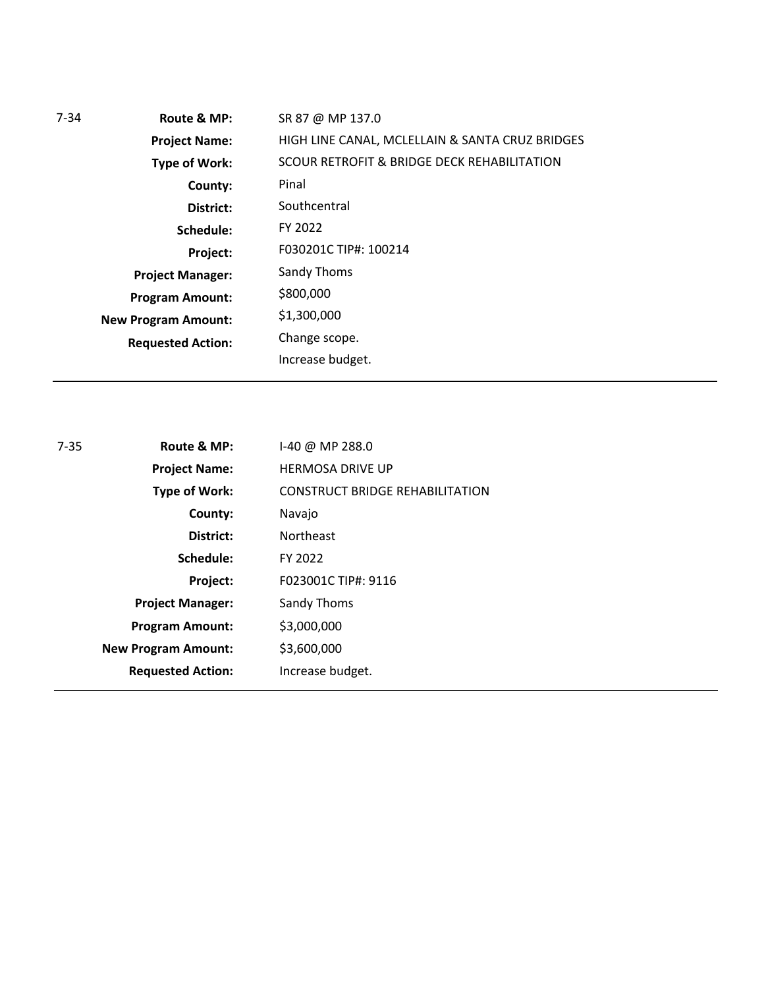| $7 - 34$ | Route & MP:                | SR 87 @ MP 137.0                                |
|----------|----------------------------|-------------------------------------------------|
|          | <b>Project Name:</b>       | HIGH LINE CANAL, MCLELLAIN & SANTA CRUZ BRIDGES |
|          | <b>Type of Work:</b>       | SCOUR RETROFIT & BRIDGE DECK REHABILITATION     |
|          | County:                    | Pinal                                           |
|          | District:                  | Southcentral                                    |
|          | Schedule:                  | FY 2022                                         |
|          | Project:                   | F030201C TIP#: 100214                           |
|          | <b>Project Manager:</b>    | Sandy Thoms                                     |
|          | <b>Program Amount:</b>     | \$800,000                                       |
|          | <b>New Program Amount:</b> | \$1,300,000                                     |
|          | <b>Requested Action:</b>   | Change scope.                                   |
|          |                            | Increase budget.                                |

| 7-35 | Route & MP:                | $1-40$ @ MP 288.0                      |
|------|----------------------------|----------------------------------------|
|      | <b>Project Name:</b>       | <b>HERMOSA DRIVE UP</b>                |
|      | <b>Type of Work:</b>       | <b>CONSTRUCT BRIDGE REHABILITATION</b> |
|      | County:                    | Navajo                                 |
|      | District:                  | <b>Northeast</b>                       |
|      | Schedule:                  | FY 2022                                |
|      | Project:                   | F023001C TIP#: 9116                    |
|      | <b>Project Manager:</b>    | Sandy Thoms                            |
|      | <b>Program Amount:</b>     | \$3,000,000                            |
|      | <b>New Program Amount:</b> | \$3,600,000                            |
|      | <b>Requested Action:</b>   | Increase budget.                       |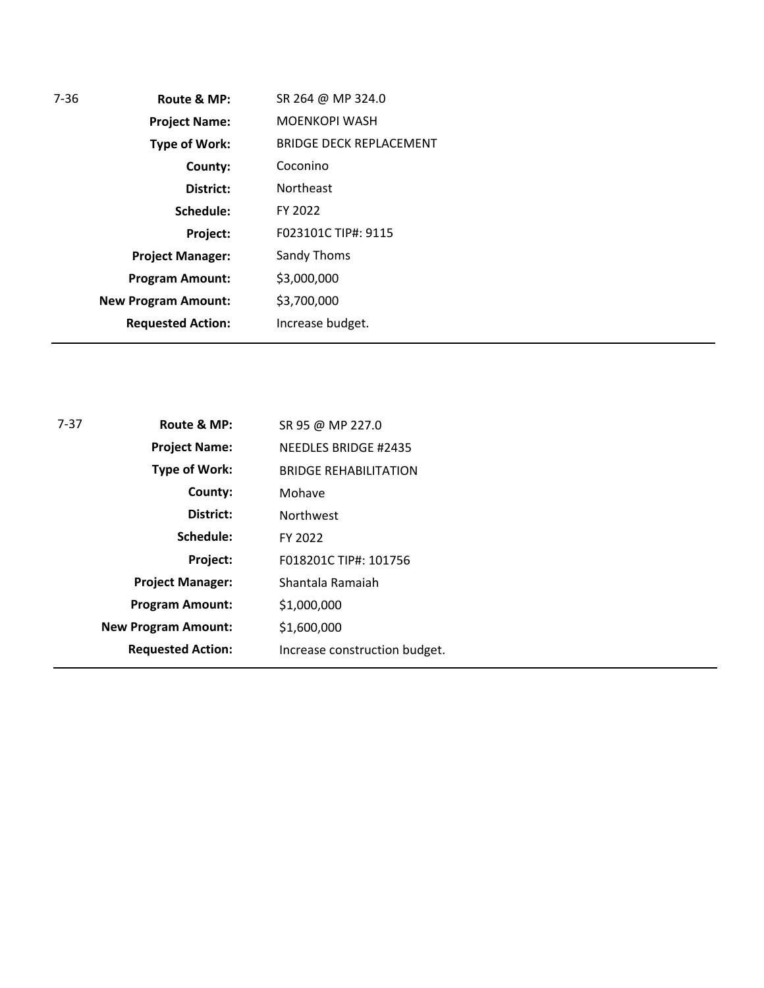| Route & MP:                | SR 264 @ MP 324.0              |
|----------------------------|--------------------------------|
| <b>Project Name:</b>       | <b>MOENKOPI WASH</b>           |
| <b>Type of Work:</b>       | <b>BRIDGE DECK REPLACEMENT</b> |
| County:                    | Coconino                       |
| District:                  | <b>Northeast</b>               |
| Schedule:                  | FY 2022                        |
| Project:                   | F023101C TIP#: 9115            |
| <b>Project Manager:</b>    | Sandy Thoms                    |
| <b>Program Amount:</b>     | \$3,000,000                    |
| <b>New Program Amount:</b> | \$3,700,000                    |
| <b>Requested Action:</b>   | Increase budget.               |
|                            |                                |

| $7-37$ | Route & MP:                | SR 95 @ MP 227.0              |  |
|--------|----------------------------|-------------------------------|--|
|        | <b>Project Name:</b>       | <b>NEEDLES BRIDGE #2435</b>   |  |
|        | Type of Work:              | <b>BRIDGE REHABILITATION</b>  |  |
|        | County:                    | Mohave                        |  |
|        | District:                  | <b>Northwest</b>              |  |
|        | Schedule:                  | FY 2022                       |  |
|        | Project:                   | F018201C TIP#: 101756         |  |
|        | <b>Project Manager:</b>    | Shantala Ramaiah              |  |
|        | <b>Program Amount:</b>     | \$1,000,000                   |  |
|        | <b>New Program Amount:</b> | \$1,600,000                   |  |
|        | <b>Requested Action:</b>   | Increase construction budget. |  |
|        |                            |                               |  |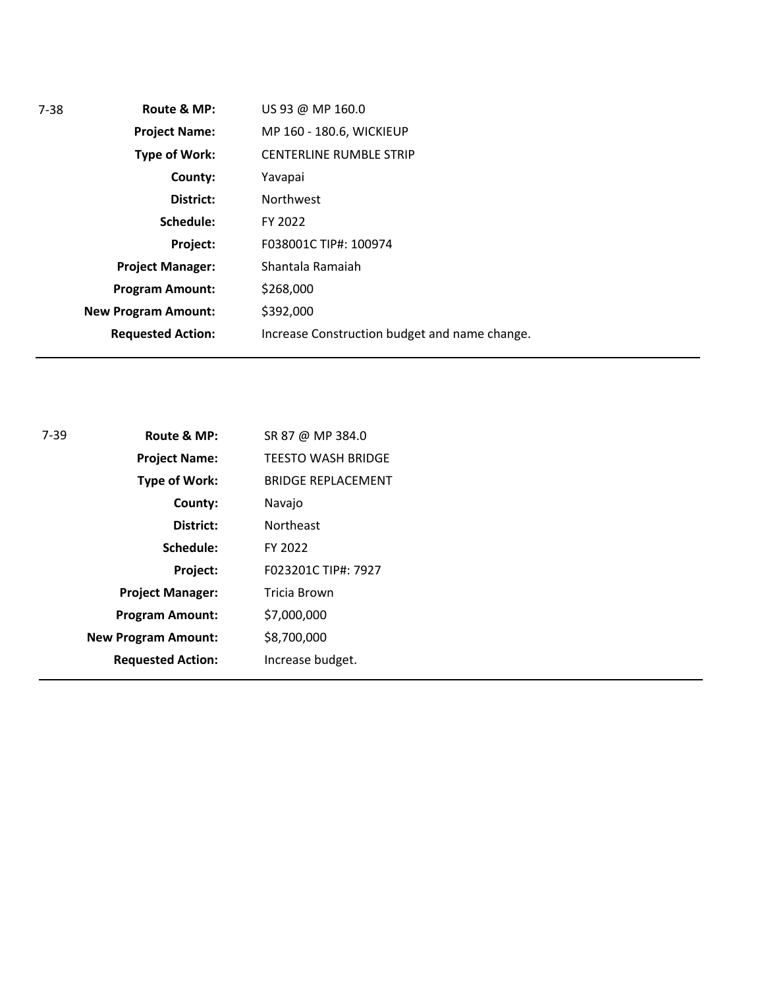| 7-38 | Route & MP:                | US 93 @ MP 160.0                              |
|------|----------------------------|-----------------------------------------------|
|      | <b>Project Name:</b>       | MP 160 - 180.6, WICKIEUP                      |
|      | Type of Work:              | <b>CENTERLINE RUMBLE STRIP</b>                |
|      | County:                    | Yavapai                                       |
|      | District:                  | <b>Northwest</b>                              |
|      | Schedule:                  | FY 2022                                       |
|      | Project:                   | F038001C TIP#: 100974                         |
|      | <b>Project Manager:</b>    | Shantala Ramaiah                              |
|      | <b>Program Amount:</b>     | \$268,000                                     |
|      | <b>New Program Amount:</b> | \$392,000                                     |
|      | <b>Requested Action:</b>   | Increase Construction budget and name change. |
|      |                            |                                               |

| 7-39 | Route & MP:                | SR 87 @ MP 384.0          |
|------|----------------------------|---------------------------|
|      | <b>Project Name:</b>       | <b>TEESTO WASH BRIDGE</b> |
|      | <b>Type of Work:</b>       | <b>BRIDGE REPLACEMENT</b> |
|      | County:                    | Navajo                    |
|      | District:                  | <b>Northeast</b>          |
|      | Schedule:                  | FY 2022                   |
|      | Project:                   | F023201C TIP#: 7927       |
|      | <b>Project Manager:</b>    | Tricia Brown              |
|      | <b>Program Amount:</b>     | \$7,000,000               |
|      | <b>New Program Amount:</b> | \$8,700,000               |
|      | <b>Requested Action:</b>   | Increase budget.          |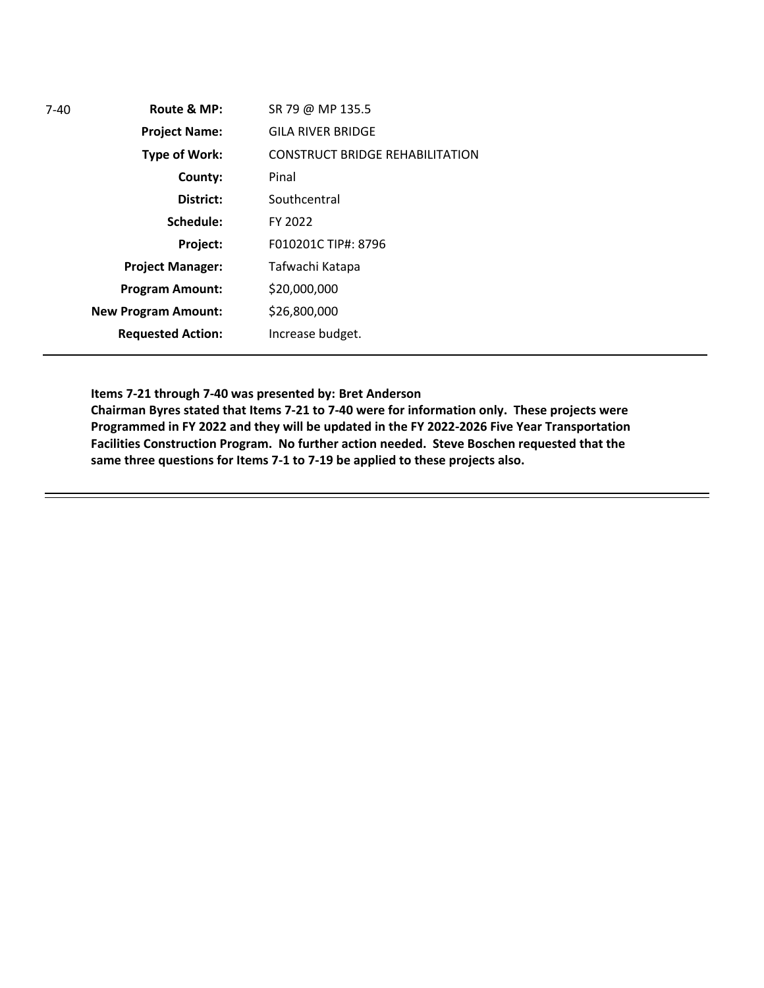| 7-40 | Route & MP:                | SR 79 @ MP 135.5                       |
|------|----------------------------|----------------------------------------|
|      | <b>Project Name:</b>       | <b>GILA RIVER BRIDGE</b>               |
|      | <b>Type of Work:</b>       | <b>CONSTRUCT BRIDGE REHABILITATION</b> |
|      | County:                    | Pinal                                  |
|      | District:                  | Southcentral                           |
|      | Schedule:                  | FY 2022                                |
|      | Project:                   | F010201C TIP#: 8796                    |
|      | <b>Project Manager:</b>    | Tafwachi Katapa                        |
|      | <b>Program Amount:</b>     | \$20,000,000                           |
|      | <b>New Program Amount:</b> | \$26,800,000                           |
|      | <b>Requested Action:</b>   | Increase budget.                       |
|      |                            |                                        |

## **Items 7-21 through 7-40 was presented by: Bret Anderson**

**Chairman Byres stated that Items 7-21 to 7-40 were for information only. These projects were Programmed in FY 2022 and they will be updated in the FY 2022-2026 Five Year Transportation Facilities Construction Program. No further action needed. Steve Boschen requested that the same three questions for Items 7-1 to 7-19 be applied to these projects also.**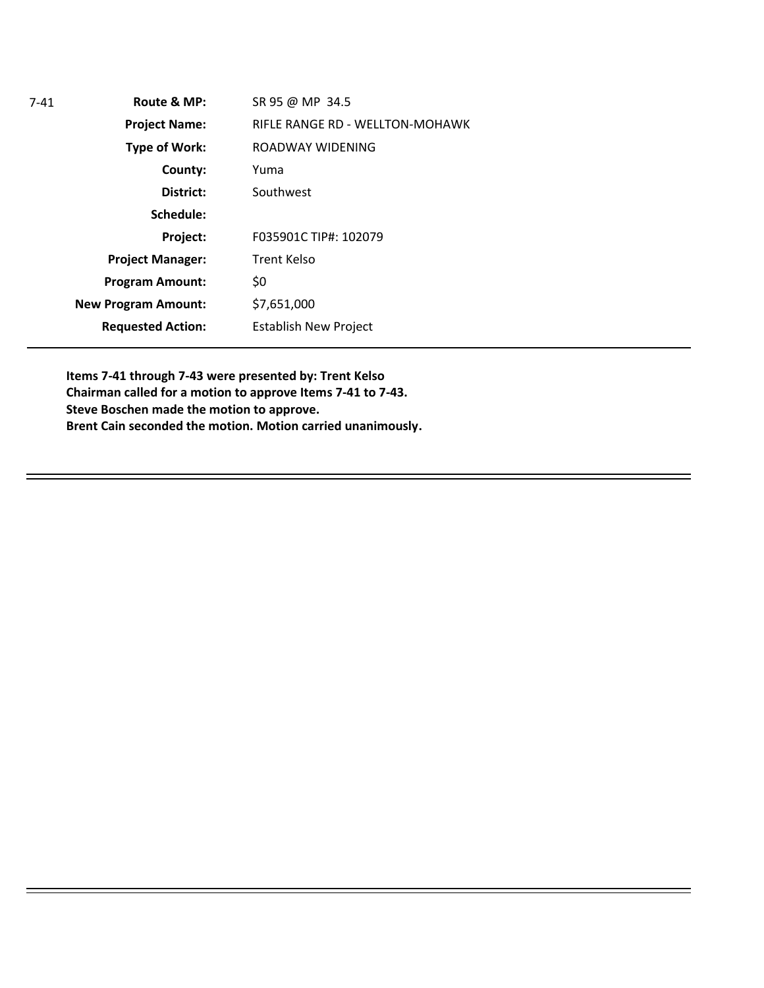| 7-41 | Route & MP:                | SR 95 @ MP 34.5                 |
|------|----------------------------|---------------------------------|
|      | <b>Project Name:</b>       | RIFLE RANGE RD - WELLTON-MOHAWK |
|      | <b>Type of Work:</b>       | ROADWAY WIDENING                |
|      | County:                    | Yuma                            |
|      | District:                  | Southwest                       |
|      | Schedule:                  |                                 |
|      | Project:                   | F035901C TIP#: 102079           |
|      | <b>Project Manager:</b>    | <b>Trent Kelso</b>              |
|      | <b>Program Amount:</b>     | \$0                             |
|      | <b>New Program Amount:</b> | \$7,651,000                     |
|      | <b>Requested Action:</b>   | <b>Establish New Project</b>    |
|      |                            |                                 |

**Items 7-41 through 7-43 were presented by: Trent Kelso Chairman called for a motion to approve Items 7-41 to 7-43. Steve Boschen made the motion to approve. Brent Cain seconded the motion. Motion carried unanimously.**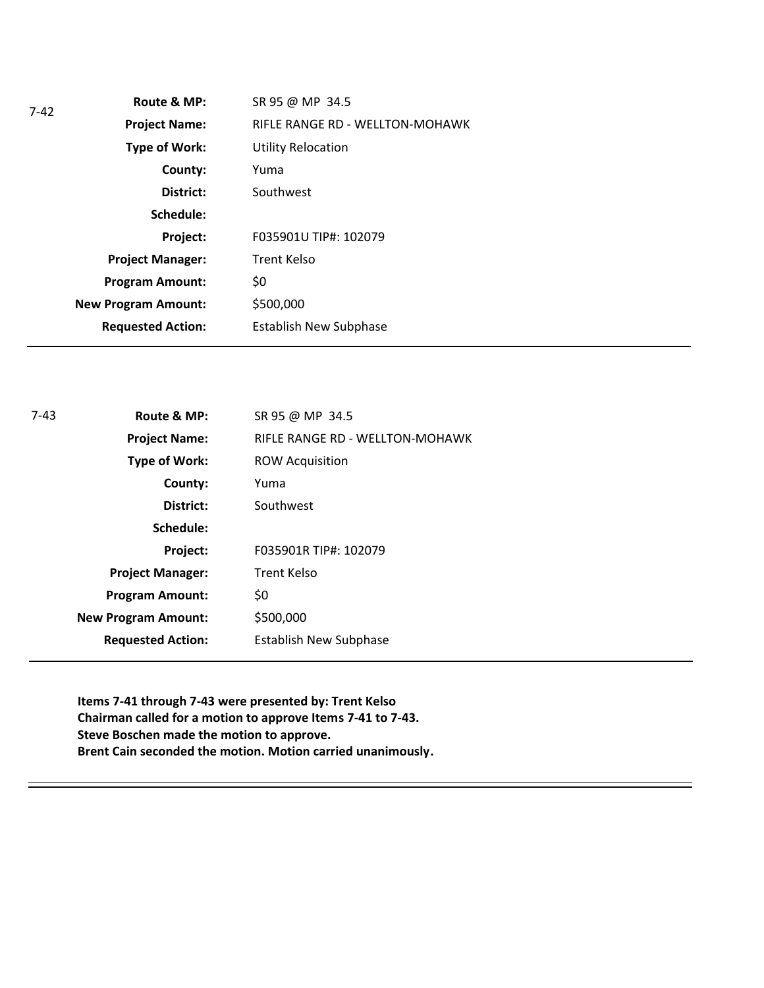| 7-42 | Route & MP:                | SR 95 @ MP 34.5                 |
|------|----------------------------|---------------------------------|
|      | <b>Project Name:</b>       | RIFLE RANGE RD - WELLTON-MOHAWK |
|      | <b>Type of Work:</b>       | <b>Utility Relocation</b>       |
|      | County:                    | Yuma                            |
|      | District:                  | Southwest                       |
|      | Schedule:                  |                                 |
|      | Project:                   | F035901U TIP#: 102079           |
|      | <b>Project Manager:</b>    | <b>Trent Kelso</b>              |
|      | <b>Program Amount:</b>     | \$0                             |
|      | <b>New Program Amount:</b> | \$500,000                       |
|      | <b>Requested Action:</b>   | <b>Establish New Subphase</b>   |
|      |                            |                                 |

| $7-43$ | Route & MP:                | SR 95 @ MP 34.5                 |
|--------|----------------------------|---------------------------------|
|        | <b>Project Name:</b>       | RIFLE RANGE RD - WELLTON-MOHAWK |
|        | Type of Work:              | <b>ROW Acquisition</b>          |
|        | County:                    | Yuma                            |
|        | District:                  | Southwest                       |
|        | Schedule:                  |                                 |
|        | Project:                   | F035901R TIP#: 102079           |
|        | <b>Project Manager:</b>    | <b>Trent Kelso</b>              |
|        | <b>Program Amount:</b>     | \$0                             |
|        | <b>New Program Amount:</b> | \$500,000                       |
|        | <b>Requested Action:</b>   | <b>Establish New Subphase</b>   |
|        |                            |                                 |

**Items 7-41 through 7-43 were presented by: Trent Kelso Chairman called for a motion to approve Items 7-41 to 7-43. Steve Boschen made the motion to approve. Brent Cain seconded the motion. Motion carried unanimously.**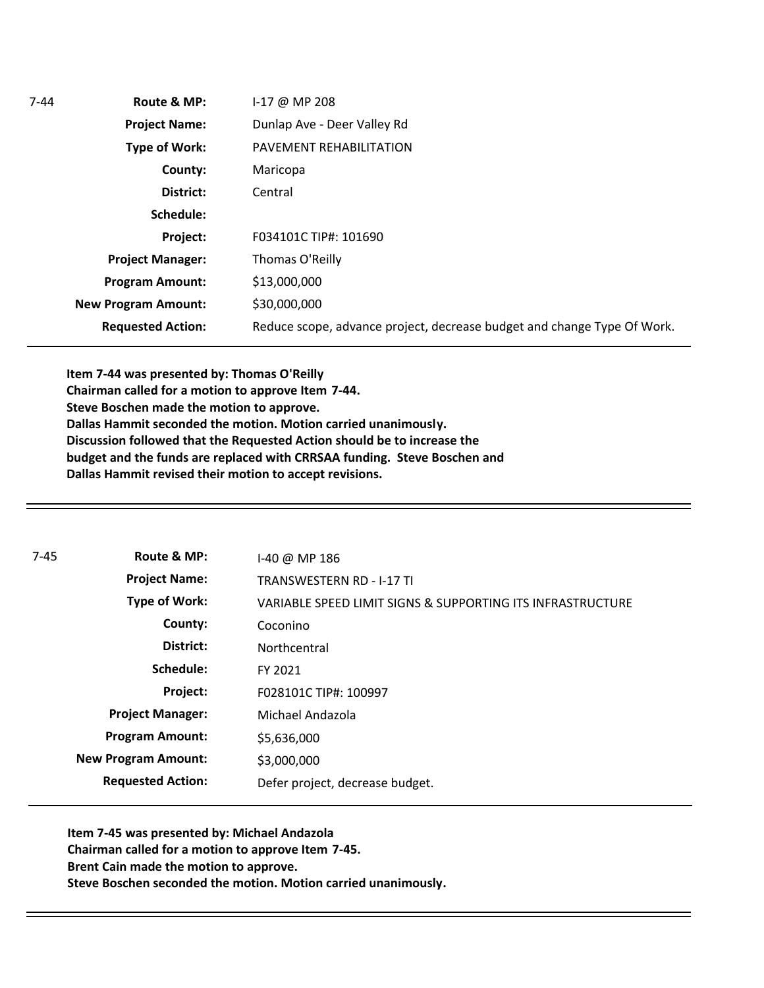| $7 - 44$ | Route & MP:                | $1-17$ @ MP 208                                                         |
|----------|----------------------------|-------------------------------------------------------------------------|
|          | <b>Project Name:</b>       | Dunlap Ave - Deer Valley Rd                                             |
|          | Type of Work:              | PAVEMENT REHABILITATION                                                 |
|          | County:                    | Maricopa                                                                |
|          | District:                  | Central                                                                 |
|          | Schedule:                  |                                                                         |
|          | Project:                   | F034101C TIP#: 101690                                                   |
|          | <b>Project Manager:</b>    | Thomas O'Reilly                                                         |
|          | <b>Program Amount:</b>     | \$13,000,000                                                            |
|          | <b>New Program Amount:</b> | \$30,000,000                                                            |
|          | <b>Requested Action:</b>   | Reduce scope, advance project, decrease budget and change Type Of Work. |

**Item 7-44 was presented by: Thomas O'Reilly Chairman called for a motion to approve Item 7-44. Steve Boschen made the motion to approve. Dallas Hammit seconded the motion. Motion carried unanimously. Discussion followed that the Requested Action should be to increase the budget and the funds are replaced with CRRSAA funding. Steve Boschen and Dallas Hammit revised their motion to accept revisions.** 

| $7 - 45$ | Route & MP:                | $1-40$ @ MP 186                                            |
|----------|----------------------------|------------------------------------------------------------|
|          | <b>Project Name:</b>       | <b>TRANSWESTERN RD - I-17 TI</b>                           |
|          | <b>Type of Work:</b>       | VARIABLE SPEED LIMIT SIGNS & SUPPORTING ITS INFRASTRUCTURE |
|          | County:                    | Coconino                                                   |
|          | District:                  | Northcentral                                               |
|          | Schedule:                  | FY 2021                                                    |
|          | Project:                   | F028101C TIP#: 100997                                      |
|          | <b>Project Manager:</b>    | Michael Andazola                                           |
|          | <b>Program Amount:</b>     | \$5,636,000                                                |
|          | <b>New Program Amount:</b> | \$3,000,000                                                |
|          | <b>Requested Action:</b>   | Defer project, decrease budget.                            |

**Item 7-45 was presented by: Michael Andazola Chairman called for a motion to approve Item 7-45. Brent Cain made the motion to approve. Steve Boschen seconded the motion. Motion carried unanimously.**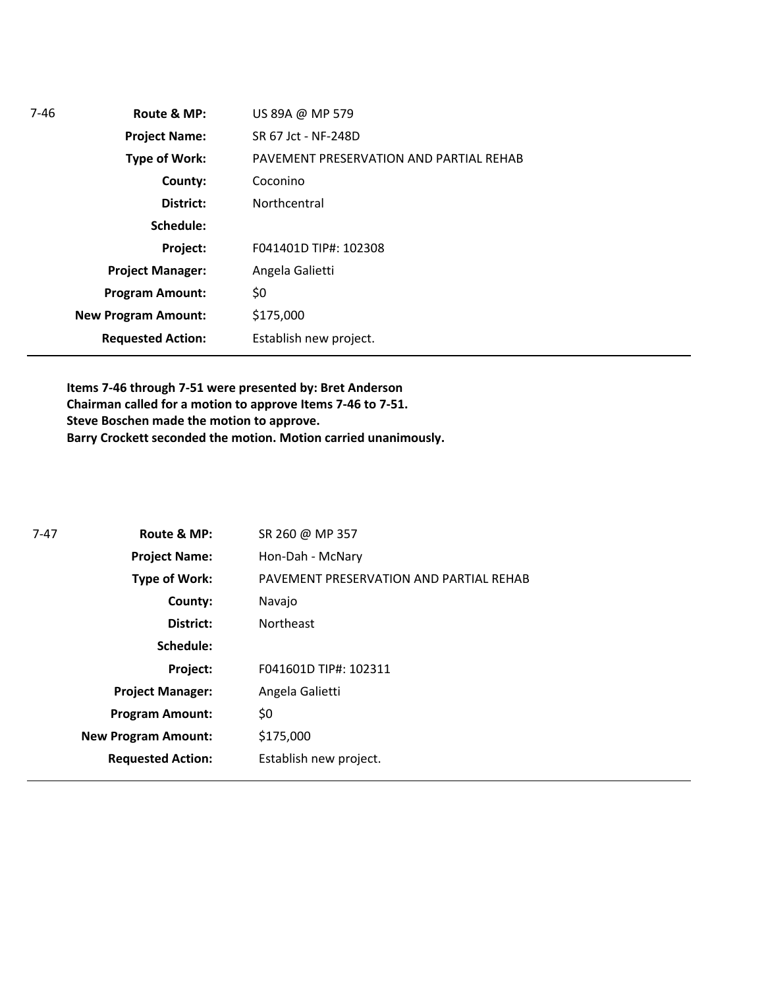| 7-46 | Route & MP:                | US 89A @ MP 579                         |
|------|----------------------------|-----------------------------------------|
|      | <b>Project Name:</b>       | SR 67 Jct - NF-248D                     |
|      | <b>Type of Work:</b>       | PAVEMENT PRESERVATION AND PARTIAL REHAB |
|      | County:                    | Coconino                                |
|      | District:                  | Northcentral                            |
|      | Schedule:                  |                                         |
|      | Project:                   | F041401D TIP#: 102308                   |
|      | <b>Project Manager:</b>    | Angela Galietti                         |
|      | <b>Program Amount:</b>     | \$0                                     |
|      | <b>New Program Amount:</b> | \$175,000                               |
|      | <b>Requested Action:</b>   | Establish new project.                  |
|      |                            |                                         |

**Items 7-46 through 7-51 were presented by: Bret Anderson Chairman called for a motion to approve Items 7-46 to 7-51. Steve Boschen made the motion to approve. Barry Crockett seconded the motion. Motion carried unanimously.** 

| 7-47 | Route & MP:                | SR 260 @ MP 357                         |
|------|----------------------------|-----------------------------------------|
|      | <b>Project Name:</b>       | Hon-Dah - McNary                        |
|      | <b>Type of Work:</b>       | PAVEMENT PRESERVATION AND PARTIAL REHAB |
|      | County:                    | Navajo                                  |
|      | District:                  | <b>Northeast</b>                        |
|      | Schedule:                  |                                         |
|      | Project:                   | F041601D TIP#: 102311                   |
|      | <b>Project Manager:</b>    | Angela Galietti                         |
|      | <b>Program Amount:</b>     | \$0                                     |
|      | <b>New Program Amount:</b> | \$175,000                               |
|      | <b>Requested Action:</b>   | Establish new project.                  |
|      |                            |                                         |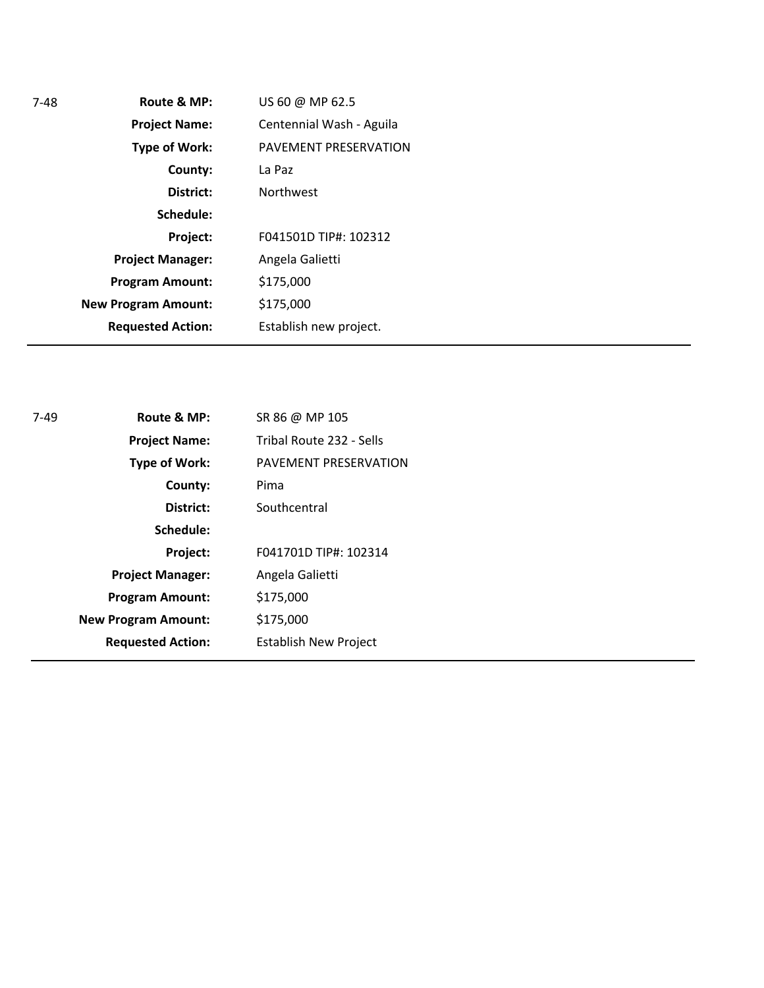| Route & MP:<br>$7 - 48$    | US 60 @ MP 62.5          |
|----------------------------|--------------------------|
| <b>Project Name:</b>       | Centennial Wash - Aguila |
| Type of Work:              | PAVEMENT PRESERVATION    |
| County:                    | La Paz                   |
| District:                  | <b>Northwest</b>         |
| Schedule:                  |                          |
| Project:                   | F041501D TIP#: 102312    |
| <b>Project Manager:</b>    | Angela Galietti          |
| <b>Program Amount:</b>     | \$175,000                |
| <b>New Program Amount:</b> | \$175,000                |
| <b>Requested Action:</b>   | Establish new project.   |

| 7-49 | Route & MP:                | SR 86 @ MP 105               |
|------|----------------------------|------------------------------|
|      | <b>Project Name:</b>       | Tribal Route 232 - Sells     |
|      | Type of Work:              | PAVEMENT PRESERVATION        |
|      | County:                    | Pima                         |
|      | District:                  | Southcentral                 |
|      | Schedule:                  |                              |
|      | Project:                   | F041701D TIP#: 102314        |
|      | <b>Project Manager:</b>    | Angela Galietti              |
|      | <b>Program Amount:</b>     | \$175,000                    |
|      | <b>New Program Amount:</b> | \$175,000                    |
|      | <b>Requested Action:</b>   | <b>Establish New Project</b> |
|      |                            |                              |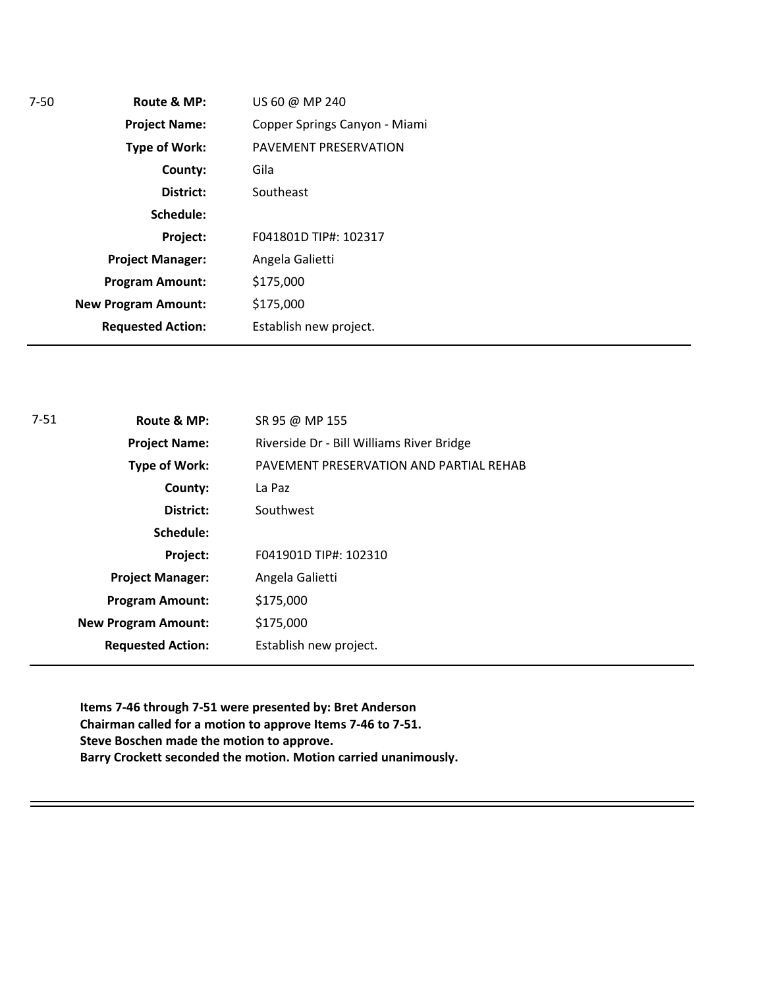| $7-50$ | Route & MP:                | US 60 @ MP 240                |
|--------|----------------------------|-------------------------------|
|        | <b>Project Name:</b>       | Copper Springs Canyon - Miami |
|        | <b>Type of Work:</b>       | PAVEMENT PRESERVATION         |
|        | County:                    | Gila                          |
|        | District:                  | Southeast                     |
|        | Schedule:                  |                               |
|        | Project:                   | F041801D TIP#: 102317         |
|        | <b>Project Manager:</b>    | Angela Galietti               |
|        | <b>Program Amount:</b>     | \$175,000                     |
|        | <b>New Program Amount:</b> | \$175,000                     |
|        | <b>Requested Action:</b>   | Establish new project.        |
|        |                            |                               |

| Riverside Dr - Bill Williams River Bridge<br><b>Project Name:</b><br>PAVEMENT PRESERVATION AND PARTIAL REHAB<br>Type of Work:<br>County:<br>La Paz<br>Southwest<br>District:<br>Schedule: |
|-------------------------------------------------------------------------------------------------------------------------------------------------------------------------------------------|
|                                                                                                                                                                                           |
|                                                                                                                                                                                           |
|                                                                                                                                                                                           |
|                                                                                                                                                                                           |
|                                                                                                                                                                                           |
| F041901D TIP#: 102310<br>Project:                                                                                                                                                         |
| Angela Galietti<br><b>Project Manager:</b>                                                                                                                                                |
| \$175,000<br><b>Program Amount:</b>                                                                                                                                                       |
| \$175,000<br><b>New Program Amount:</b>                                                                                                                                                   |
| <b>Requested Action:</b><br>Establish new project.                                                                                                                                        |

**Items 7-46 through 7-51 were presented by: Bret Anderson Chairman called for a motion to approve Items 7-46 to 7-51. Steve Boschen made the motion to approve. Barry Crockett seconded the motion. Motion carried unanimously.**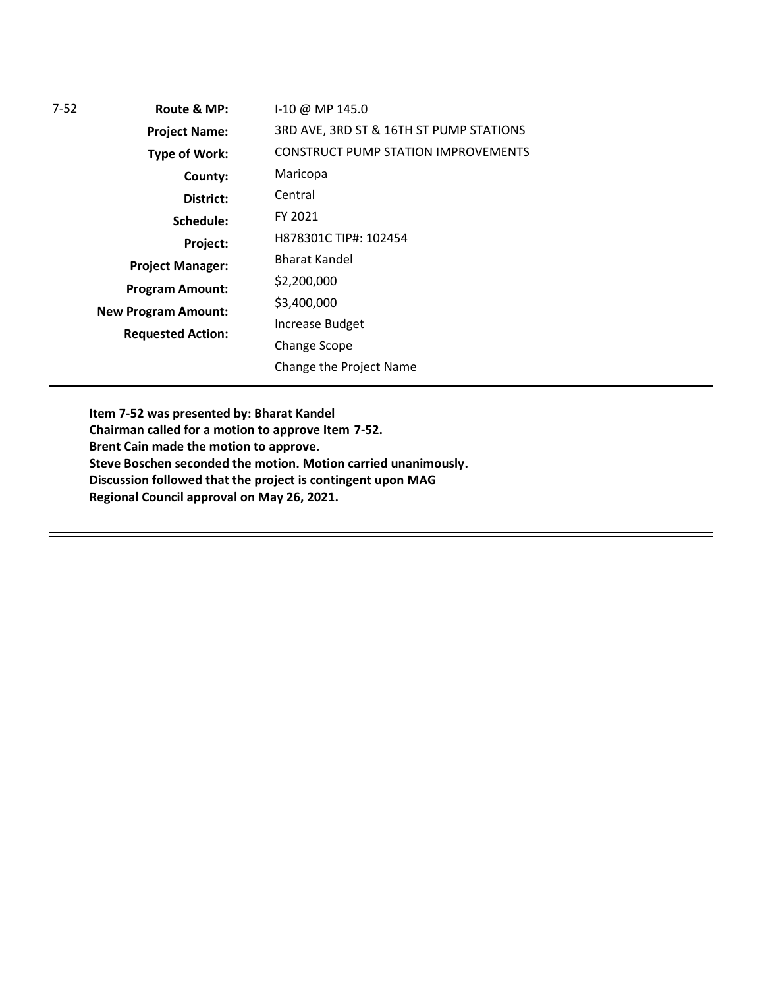| 7-52 | Route & MP:                | I-10 @ MP 145.0                            |
|------|----------------------------|--------------------------------------------|
|      | <b>Project Name:</b>       | 3RD AVE, 3RD ST & 16TH ST PUMP STATIONS    |
|      | <b>Type of Work:</b>       | <b>CONSTRUCT PUMP STATION IMPROVEMENTS</b> |
|      | County:                    | Maricopa                                   |
|      | District:                  | Central                                    |
|      | Schedule:                  | FY 2021                                    |
|      | Project:                   | H878301C TIP#: 102454                      |
|      | <b>Project Manager:</b>    | Bharat Kandel                              |
|      | <b>Program Amount:</b>     | \$2,200,000                                |
|      | <b>New Program Amount:</b> | \$3,400,000                                |
|      | <b>Requested Action:</b>   | Increase Budget                            |
|      |                            | <b>Change Scope</b>                        |
|      |                            | Change the Project Name                    |
|      |                            |                                            |

**Item 7-52 was presented by: Bharat Kandel Chairman called for a motion to approve Item 7-52. Brent Cain made the motion to approve. Steve Boschen seconded the motion. Motion carried unanimously.**

**Discussion followed that the project is contingent upon MAG** 

**Regional Council approval on May 26, 2021.**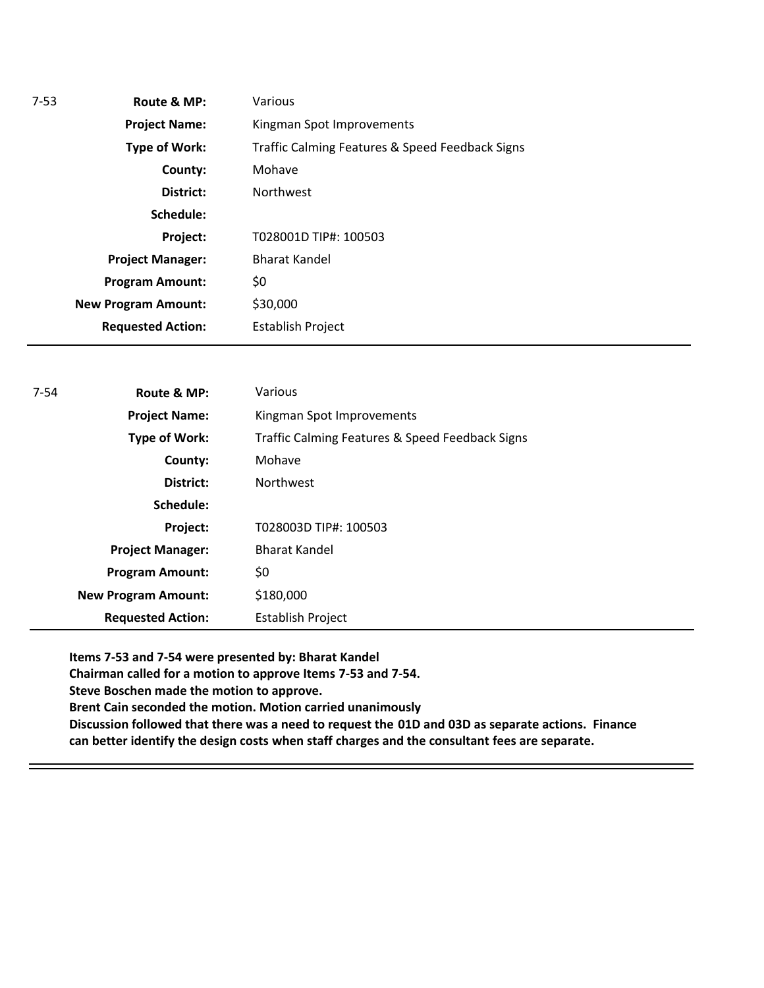| 7-53 | Route & MP:                | Various                                         |
|------|----------------------------|-------------------------------------------------|
|      | <b>Project Name:</b>       | Kingman Spot Improvements                       |
|      | Type of Work:              | Traffic Calming Features & Speed Feedback Signs |
|      | County:                    | Mohave                                          |
|      | District:                  | <b>Northwest</b>                                |
|      | Schedule:                  |                                                 |
|      | Project:                   | T028001D TIP#: 100503                           |
|      | <b>Project Manager:</b>    | <b>Bharat Kandel</b>                            |
|      | <b>Program Amount:</b>     | \$0                                             |
|      | <b>New Program Amount:</b> | \$30,000                                        |
|      | <b>Requested Action:</b>   | <b>Establish Project</b>                        |
|      |                            |                                                 |

| $7 - 54$ | Route & MP:                | Various                                         |
|----------|----------------------------|-------------------------------------------------|
|          | <b>Project Name:</b>       | Kingman Spot Improvements                       |
|          | Type of Work:              | Traffic Calming Features & Speed Feedback Signs |
|          | County:                    | Mohave                                          |
|          | District:                  | <b>Northwest</b>                                |
|          | Schedule:                  |                                                 |
|          | Project:                   | T028003D TIP#: 100503                           |
|          | <b>Project Manager:</b>    | <b>Bharat Kandel</b>                            |
|          | <b>Program Amount:</b>     | \$0                                             |
|          | <b>New Program Amount:</b> | \$180,000                                       |
|          | <b>Requested Action:</b>   | Establish Project                               |

**Items 7-53 and 7-54 were presented by: Bharat Kandel Chairman called for a motion to approve Items 7-53 and 7-54. Steve Boschen made the motion to approve. Brent Cain seconded the motion. Motion carried unanimously Discussion followed that there was a need to request the 01D and 03D as separate actions. Finance can better identify the design costs when staff charges and the consultant fees are separate.**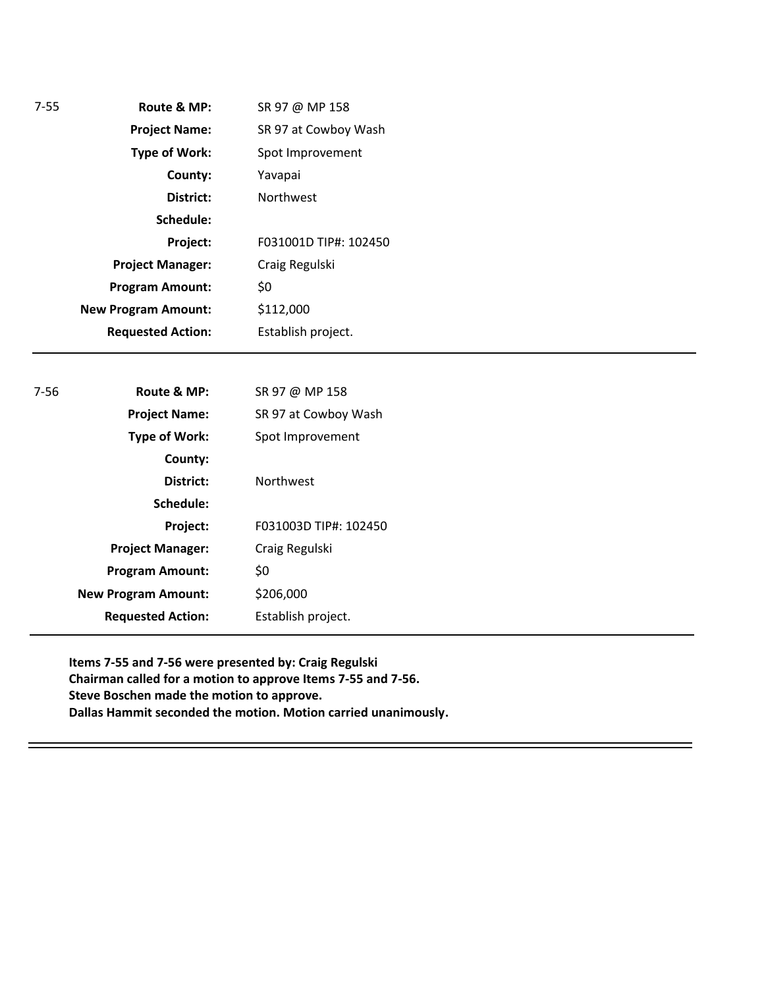| $7 - 55$                                     | Route & MP:                | SR 97 @ MP 158        |  |
|----------------------------------------------|----------------------------|-----------------------|--|
| <b>Project Name:</b><br>SR 97 at Cowboy Wash |                            |                       |  |
|                                              | <b>Type of Work:</b>       | Spot Improvement      |  |
|                                              | County:                    | Yavapai               |  |
|                                              | District:                  | Northwest             |  |
|                                              | Schedule:                  |                       |  |
|                                              | Project:                   | F031001D TIP#: 102450 |  |
|                                              | <b>Project Manager:</b>    | Craig Regulski        |  |
|                                              | <b>Program Amount:</b>     | \$0                   |  |
|                                              | <b>New Program Amount:</b> | \$112,000             |  |
|                                              | <b>Requested Action:</b>   | Establish project.    |  |
|                                              |                            |                       |  |
| $7 - 56$                                     | Route & MP:                | SR 97 @ MP 158        |  |
|                                              | <b>Project Name:</b>       | SR 97 at Cowboy Wash  |  |
|                                              | <b>Type of Work:</b>       | Spot Improvement      |  |
|                                              | County:                    |                       |  |
|                                              | District:                  | Northwest             |  |
|                                              | Schedule:                  |                       |  |
|                                              | Project:                   | F031003D TIP#: 102450 |  |
|                                              | <b>Project Manager:</b>    | Craig Regulski        |  |
|                                              | <b>Program Amount:</b>     | \$0                   |  |
|                                              | <b>New Program Amount:</b> | \$206,000             |  |
|                                              | <b>Requested Action:</b>   | Establish project.    |  |
|                                              |                            |                       |  |

**Items 7-55 and 7-56 were presented by: Craig Regulski Chairman called for a motion to approve Items 7-55 and 7-56. Steve Boschen made the motion to approve. Dallas Hammit seconded the motion. Motion carried unanimously.**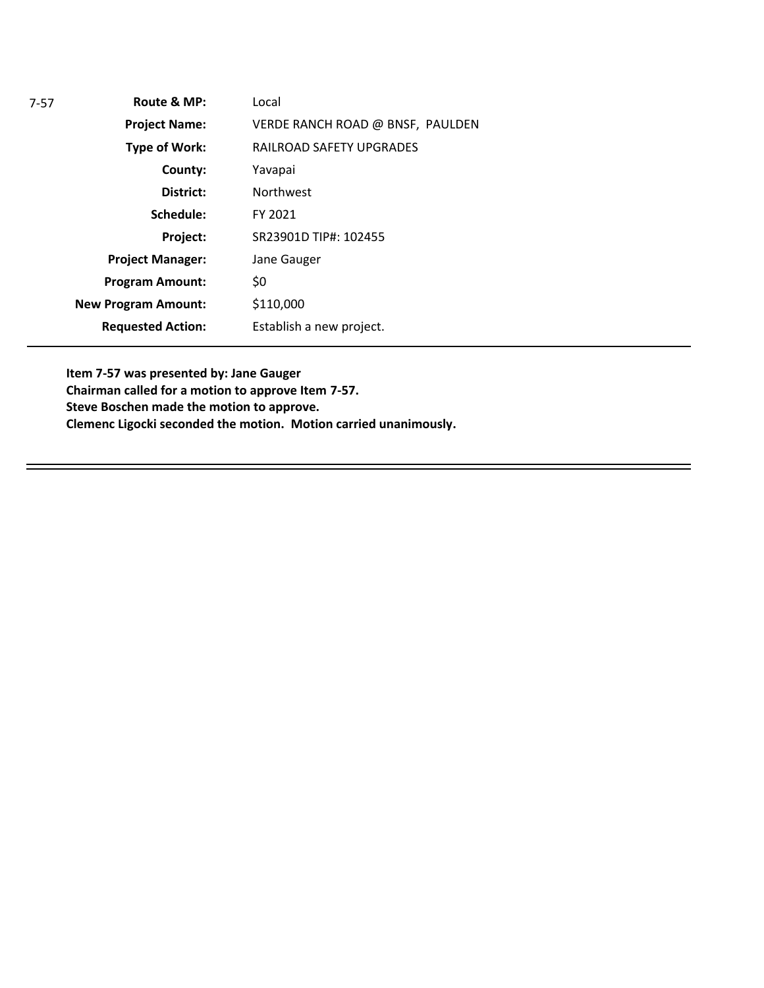| Route & MP:                | Local                            |
|----------------------------|----------------------------------|
| <b>Project Name:</b>       | VERDE RANCH ROAD @ BNSF, PAULDEN |
| Type of Work:              | RAILROAD SAFETY UPGRADES         |
| County:                    | Yavapai                          |
| District:                  | <b>Northwest</b>                 |
| Schedule:                  | FY 2021                          |
| Project:                   | SR23901D TIP#: 102455            |
| <b>Project Manager:</b>    | Jane Gauger                      |
| <b>Program Amount:</b>     | \$0                              |
| <b>New Program Amount:</b> | \$110,000                        |
| <b>Requested Action:</b>   | Establish a new project.         |
|                            |                                  |

**Item 7-57 was presented by: Jane Gauger Chairman called for a motion to approve Item 7-57. Steve Boschen made the motion to approve. Clemenc Ligocki seconded the motion. Motion carried unanimously.**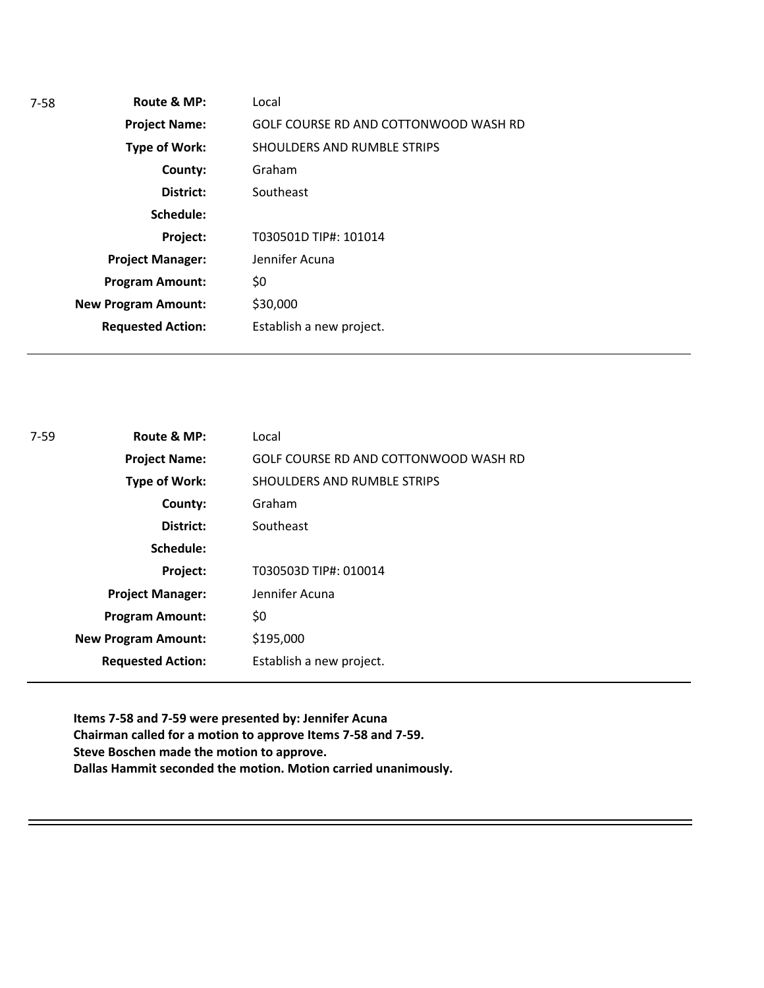| $7-58$ | Route & MP:                | Local                                 |
|--------|----------------------------|---------------------------------------|
|        | <b>Project Name:</b>       | GOLF COURSE RD AND COTTONWOOD WASH RD |
|        | Type of Work:              | SHOULDERS AND RUMBLE STRIPS           |
|        | County:                    | Graham                                |
|        | District:                  | Southeast                             |
|        | Schedule:                  |                                       |
|        | Project:                   | T030501D TIP#: 101014                 |
|        | <b>Project Manager:</b>    | Jennifer Acuna                        |
|        | <b>Program Amount:</b>     | \$0                                   |
|        | <b>New Program Amount:</b> | \$30,000                              |
|        | <b>Requested Action:</b>   | Establish a new project.              |
|        |                            |                                       |

| $7 - 59$ | Route & MP:                | Local                                 |
|----------|----------------------------|---------------------------------------|
|          | <b>Project Name:</b>       | GOLF COURSE RD AND COTTONWOOD WASH RD |
|          | <b>Type of Work:</b>       | SHOULDERS AND RUMBLE STRIPS           |
|          | County:                    | Graham                                |
|          | District:                  | Southeast                             |
|          | Schedule:                  |                                       |
|          | Project:                   | T030503D TIP#: 010014                 |
|          | <b>Project Manager:</b>    | Jennifer Acuna                        |
|          | <b>Program Amount:</b>     | \$0                                   |
|          | <b>New Program Amount:</b> | \$195,000                             |
|          | <b>Requested Action:</b>   | Establish a new project.              |

**Items 7-58 and 7-59 were presented by: Jennifer Acuna Chairman called for a motion to approve Items 7-58 and 7-59. Steve Boschen made the motion to approve. Dallas Hammit seconded the motion. Motion carried unanimously.**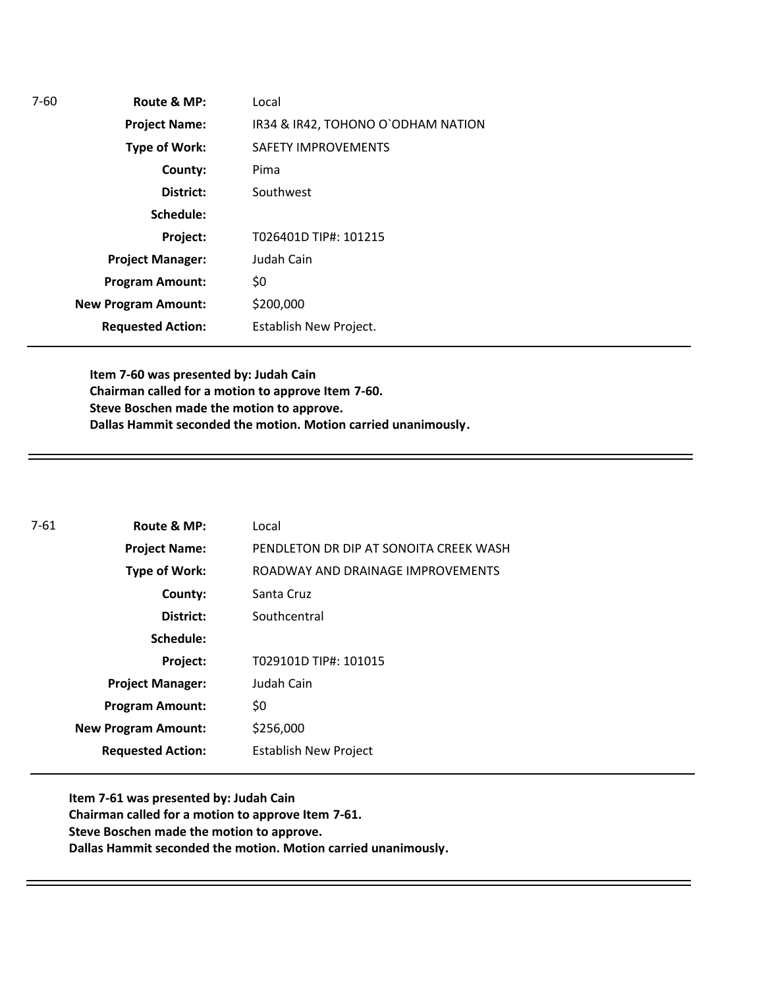**Route & MP: County: District: Schedule: Project Name: Type of Work: Project Manager: Project: Requested Action: New Program Amount:** 7-60 **Program Amount:** Local IR34 & IR42, TOHONO O`ODHAM NATION SAFETY IMPROVEMENTS Pima Southwest T026401D TIP#: 101215 Judah Cain \$0 \$200,000 Establish New Project.

> **Item 7-60 was presented by: Judah Cain Chairman called for a motion to approve Item 7-60. Steve Boschen made the motion to approve. Dallas Hammit seconded the motion. Motion carried unanimously.**

| $7 - 61$ | Route & MP:                | Local                                  |
|----------|----------------------------|----------------------------------------|
|          | <b>Project Name:</b>       | PENDLETON DR DIP AT SONOITA CREEK WASH |
|          | Type of Work:              | ROADWAY AND DRAINAGE IMPROVEMENTS      |
|          | County:                    | Santa Cruz                             |
|          | District:                  | Southcentral                           |
|          | Schedule:                  |                                        |
|          | Project:                   | T029101D TIP#: 101015                  |
|          | <b>Project Manager:</b>    | Judah Cain                             |
|          | <b>Program Amount:</b>     | \$0                                    |
|          | <b>New Program Amount:</b> | \$256,000                              |
|          | <b>Requested Action:</b>   | <b>Establish New Project</b>           |

**Item 7-61 was presented by: Judah Cain Chairman called for a motion to approve Item 7-61. Steve Boschen made the motion to approve. Dallas Hammit seconded the motion. Motion carried unanimously.**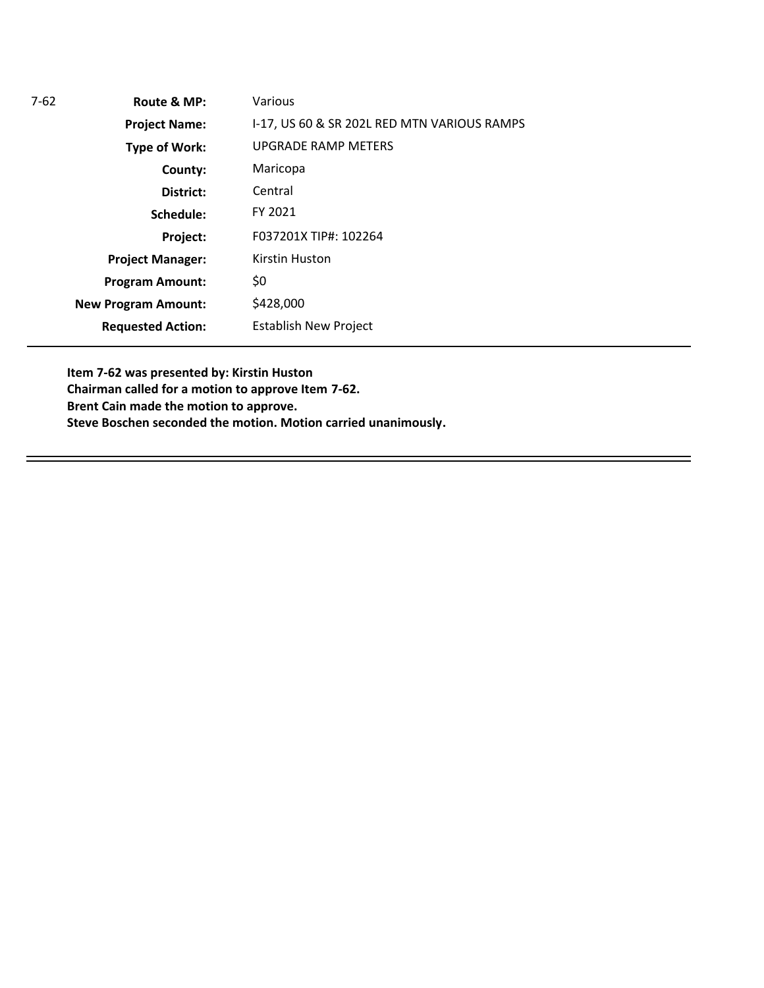**Route & MP: County: District: Schedule: Project Name: Type of Work: Project Manager: Project: Requested Action: New Program Amount:** 7-62 **Program Amount:** Various I-17, US 60 & SR 202L RED MTN VARIOUS RAMPS UPGRADE RAMP METERS Maricopa F037201X TIP#: 102264 Kirstin Huston \$0 \$428,000 Establish New Project Central FY 2021

**Item 7-62 was presented by: Kirstin Huston Chairman called for a motion to approve Item 7-62. Brent Cain made the motion to approve. Steve Boschen seconded the motion. Motion carried unanimously.**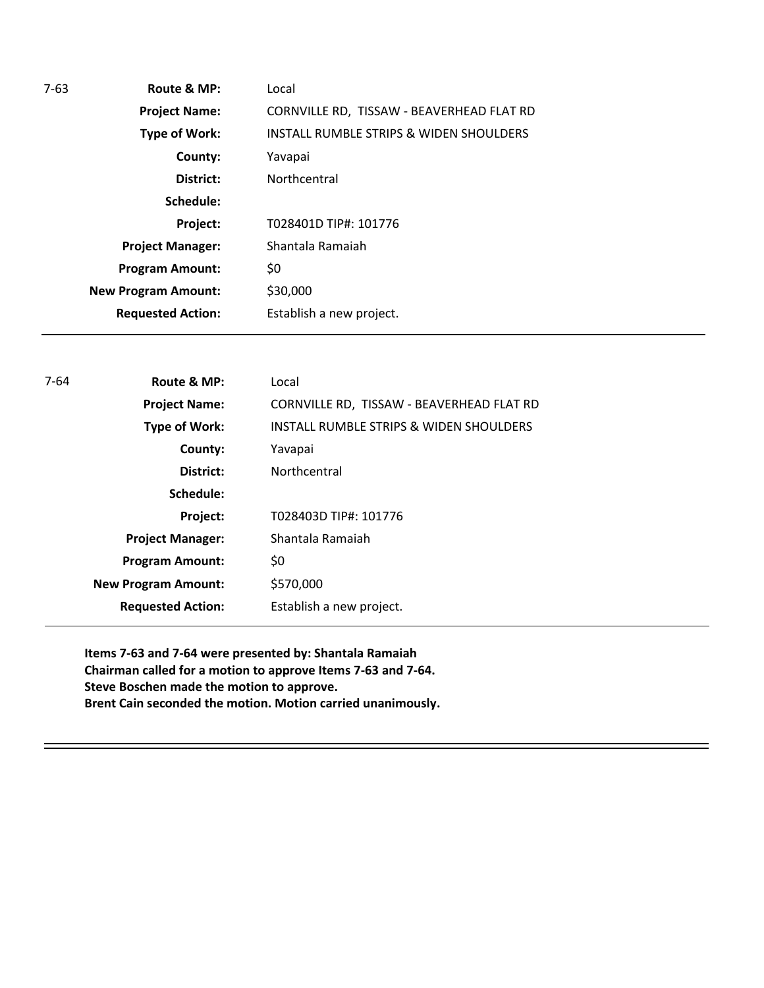| Route & MP:                | Local                                     |
|----------------------------|-------------------------------------------|
| <b>Project Name:</b>       | CORNVILLE RD, TISSAW - BEAVERHEAD FLAT RD |
| <b>Type of Work:</b>       | INSTALL RUMBLE STRIPS & WIDEN SHOULDERS   |
| County:                    | Yavapai                                   |
| District:                  | Northcentral                              |
| Schedule:                  |                                           |
| Project:                   | T028401D TIP#: 101776                     |
| <b>Project Manager:</b>    | Shantala Ramaiah                          |
| <b>Program Amount:</b>     | \$0                                       |
| <b>New Program Amount:</b> | \$30,000                                  |
| <b>Requested Action:</b>   | Establish a new project.                  |
|                            |                                           |

| 7-64 | Route & MP:                | Local                                     |
|------|----------------------------|-------------------------------------------|
|      | <b>Project Name:</b>       | CORNVILLE RD, TISSAW - BEAVERHEAD FLAT RD |
|      | Type of Work:              | INSTALL RUMBLE STRIPS & WIDEN SHOULDERS   |
|      | County:                    | Yavapai                                   |
|      | District:                  | Northcentral                              |
|      | Schedule:                  |                                           |
|      | Project:                   | T028403D TIP#: 101776                     |
|      | <b>Project Manager:</b>    | Shantala Ramaiah                          |
|      | <b>Program Amount:</b>     | \$0                                       |
|      | <b>New Program Amount:</b> | \$570,000                                 |
|      | <b>Requested Action:</b>   | Establish a new project.                  |
|      |                            |                                           |

**Items 7-63 and 7-64 were presented by: Shantala Ramaiah Chairman called for a motion to approve Items 7-63 and 7-64. Steve Boschen made the motion to approve. Brent Cain seconded the motion. Motion carried unanimously.**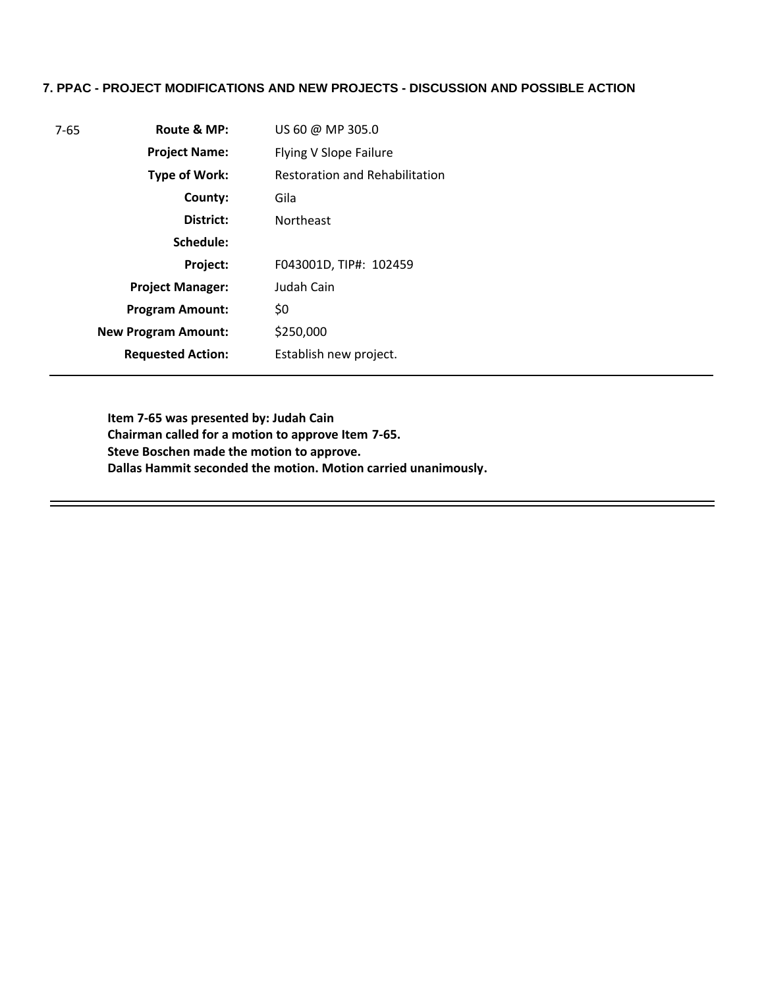### **7. PPAC - PROJECT MODIFICATIONS AND NEW PROJECTS - DISCUSSION AND POSSIBLE ACTION**

| Route & MP:<br>$7 - 65$ |                            | US 60 @ MP 305.0                      |
|-------------------------|----------------------------|---------------------------------------|
|                         | <b>Project Name:</b>       | Flying V Slope Failure                |
|                         | <b>Type of Work:</b>       | <b>Restoration and Rehabilitation</b> |
|                         | County:                    | Gila                                  |
|                         | District:                  | <b>Northeast</b>                      |
|                         | Schedule:                  |                                       |
|                         | Project:                   | F043001D, TIP#: 102459                |
|                         | <b>Project Manager:</b>    | Judah Cain                            |
|                         | <b>Program Amount:</b>     | \$0                                   |
|                         | <b>New Program Amount:</b> | \$250,000                             |
|                         | <b>Requested Action:</b>   | Establish new project.                |

**Item 7-65 was presented by: Judah Cain Chairman called for a motion to approve Item 7-65. Steve Boschen made the motion to approve. Dallas Hammit seconded the motion. Motion carried unanimously.**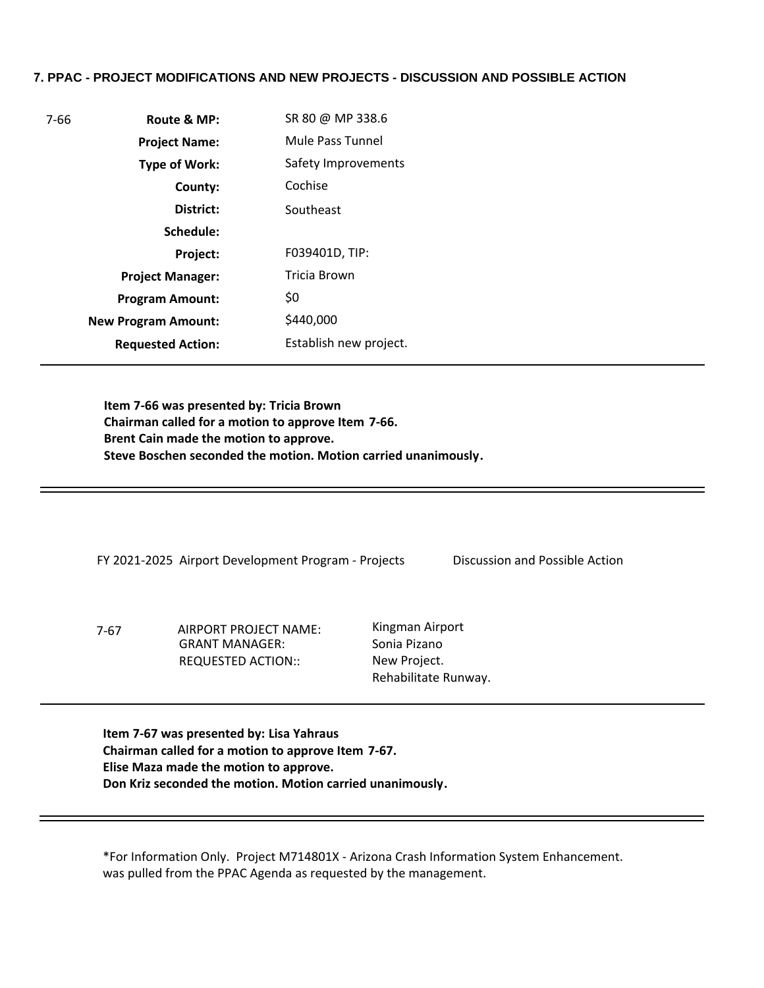## **7. PPAC - PROJECT MODIFICATIONS AND NEW PROJECTS - DISCUSSION AND POSSIBLE ACTION**

| 7-66 | Route & MP:                | SR 80 @ MP 338.6       |
|------|----------------------------|------------------------|
|      | <b>Project Name:</b>       | Mule Pass Tunnel       |
|      | Type of Work:              | Safety Improvements    |
|      | County:                    | Cochise                |
|      | District:                  | Southeast              |
|      | Schedule:                  |                        |
|      | <b>Project:</b>            | F039401D, TIP:         |
|      | <b>Project Manager:</b>    | Tricia Brown           |
|      | <b>Program Amount:</b>     | \$0                    |
|      | <b>New Program Amount:</b> | \$440,000              |
|      | <b>Requested Action:</b>   | Establish new project. |

**Item 7-66 was presented by: Tricia Brown Chairman called for a motion to approve Item 7-66. Brent Cain made the motion to approve. Steve Boschen seconded the motion. Motion carried unanimously.**

FY 2021-2025 Airport Development Program - Projects Discussion and Possible Action

7-67 AIRPORT PROJECT NAME: GRANT MANAGER: REQUESTED ACTION::

Kingman Airport Sonia Pizano New Project. Rehabilitate Runway.

**Item 7-67 was presented by: Lisa Yahraus Chairman called for a motion to approve Item 7-67. Elise Maza made the motion to approve. Don Kriz seconded the motion. Motion carried unanimously.**

\*For Information Only. Project M714801X - Arizona Crash Information System Enhancement. was pulled from the PPAC Agenda as requested by the management.